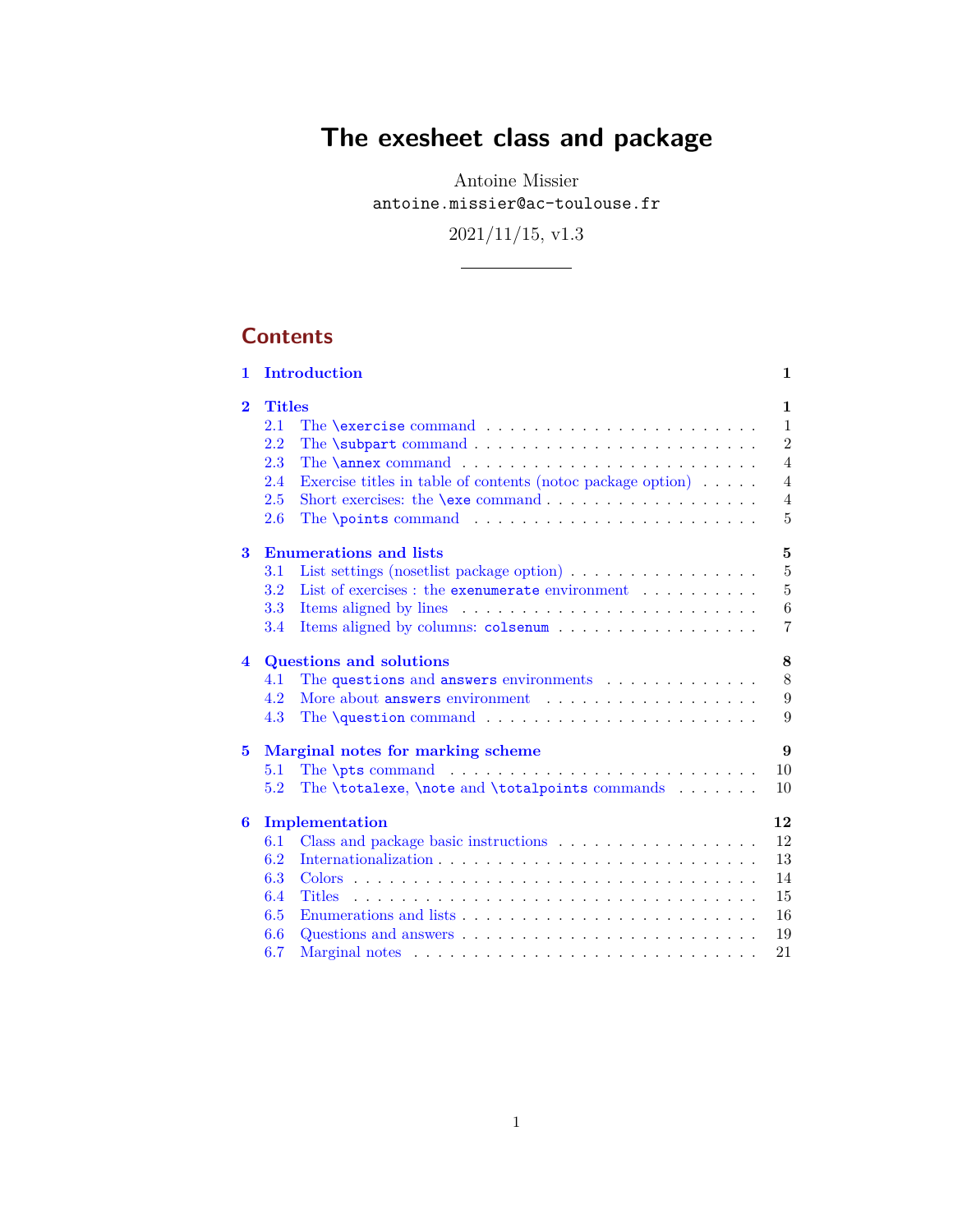# **The exesheet class and package**

Antoine Missier antoine.missier@ac-toulouse.fr

2021/11/15, v1.3

# **Contents**

| 1.             |                      | Introduction                                                                                          | $\mathbf 1$                  |
|----------------|----------------------|-------------------------------------------------------------------------------------------------------|------------------------------|
| $\overline{2}$ | <b>Titles</b><br>2.1 | The $\text{exercises command} \dots \dots \dots \dots \dots \dots \dots$                              | $\mathbf{1}$<br>$\mathbf{1}$ |
|                | 2.2                  |                                                                                                       | $\overline{2}$               |
|                | 2.3                  |                                                                                                       | $\overline{4}$               |
|                | 2.4                  | Exercise titles in table of contents (notoc package option) $\ldots \ldots$                           | $\overline{4}$               |
|                | 2.5                  | Short exercises: the $\text{exe command} \dots \dots \dots \dots \dots$                               | $\overline{4}$               |
|                | 2.6                  | The <b>\points</b> command $\ldots$ , $\ldots$ , $\ldots$ , $\ldots$ , $\ldots$ , $\ldots$ , $\ldots$ | $\overline{5}$               |
| 3              |                      | <b>Enumerations and lists</b>                                                                         | 5                            |
|                | 3.1                  | List settings (nosetlist package option) $\ldots \ldots \ldots \ldots \ldots$                         | 5                            |
|                | 3.2                  | List of exercises : the exenumerate environment                                                       | $\overline{5}$               |
|                | 3.3                  |                                                                                                       | 6                            |
|                | 3.4                  |                                                                                                       | $\overline{7}$               |
| 4              |                      | <b>Questions and solutions</b>                                                                        | 8                            |
|                | 4.1                  | The questions and answers environments $\ldots \ldots \ldots$                                         | 8                            |
|                | 4.2                  |                                                                                                       | 9                            |
|                | 4.3                  | The <b>\question</b> command $\ldots \ldots \ldots \ldots \ldots \ldots$                              | 9                            |
| 5              |                      | Marginal notes for marking scheme                                                                     | 9                            |
|                | 5.1                  | The <b>\pts</b> command $\ldots \ldots \ldots \ldots \ldots \ldots$                                   | 10                           |
|                | 5.2                  | The \totalexe, \note and \totalpoints commands $\dots$                                                | 10                           |
| 6              |                      | Implementation                                                                                        | 12                           |
|                | 6.1                  |                                                                                                       | 12                           |
|                | 6.2                  |                                                                                                       | 13                           |
|                | 6.3                  |                                                                                                       | 14                           |
|                | 6.4                  |                                                                                                       | 15                           |
|                | 6.5                  |                                                                                                       | 16                           |
|                | 6.6                  | Questions and answers $\dots \dots \dots \dots \dots \dots \dots \dots \dots$                         | 19                           |
|                | 6.7                  |                                                                                                       | 21                           |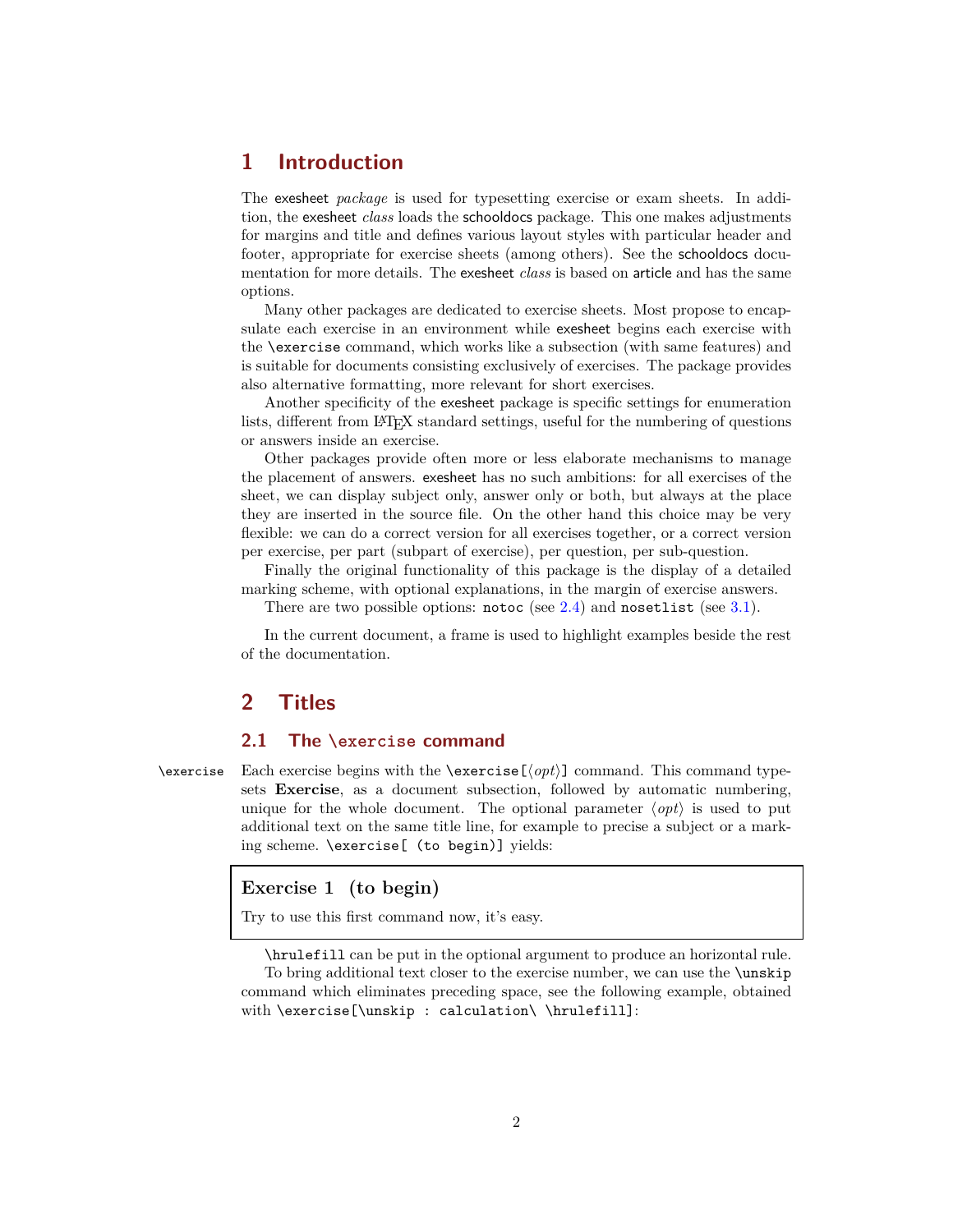# <span id="page-1-0"></span>**1 Introduction**

The exesheet *package* is used for typesetting exercise or exam sheets. In addition, the exesheet *class* loads the schooldocs package. This one makes adjustments for margins and title and defines various layout styles with particular header and footer, appropriate for exercise sheets (among others). See the schooldocs documentation for more details. The exesheet *class* is based on article and has the same options.

Many other packages are dedicated to exercise sheets. Most propose to encapsulate each exercise in an environment while exesheet begins each exercise with the \exercise command, which works like a subsection (with same features) and is suitable for documents consisting exclusively of exercises. The package provides also alternative formatting, more relevant for short exercises.

Another specificity of the exesheet package is specific settings for enumeration lists, different from L<sup>A</sup>TEX standard settings, useful for the numbering of questions or answers inside an exercise.

Other packages provide often more or less elaborate mechanisms to manage the placement of answers. exesheet has no such ambitions: for all exercises of the sheet, we can display subject only, answer only or both, but always at the place they are inserted in the source file. On the other hand this choice may be very flexible: we can do a correct version for all exercises together, or a correct version per exercise, per part (subpart of exercise), per question, per sub-question.

Finally the original functionality of this package is the display of a detailed marking scheme, with optional explanations, in the margin of exercise answers.

There are two possible options: notoc (see [2.4\)](#page-3-1) and nosetlist (see [3.1\)](#page-4-2).

In the current document, a frame is used to highlight examples beside the rest of the documentation.

# <span id="page-1-2"></span><span id="page-1-1"></span>**2 Titles**

# **2.1 The \exercise command**

 $\text{Exercise 1:}$  Each exercise begins with the  $\text{Exercise}[\text{opt}]$  command. This command typesets **Exercise**, as a document subsection, followed by automatic numbering, unique for the whole document. The optional parameter  $\langle opt \rangle$  is used to put additional text on the same title line, for example to precise a subject or a marking scheme. \exercise[ (to begin)] yields:

#### **Exercise 1 (to begin)**

Try to use this first command now, it's easy.

\hrulefill can be put in the optional argument to produce an horizontal rule. To bring additional text closer to the exercise number, we can use the \unskip command which eliminates preceding space, see the following example, obtained with \exercise[\unskip : calculation\ \hrulefill]: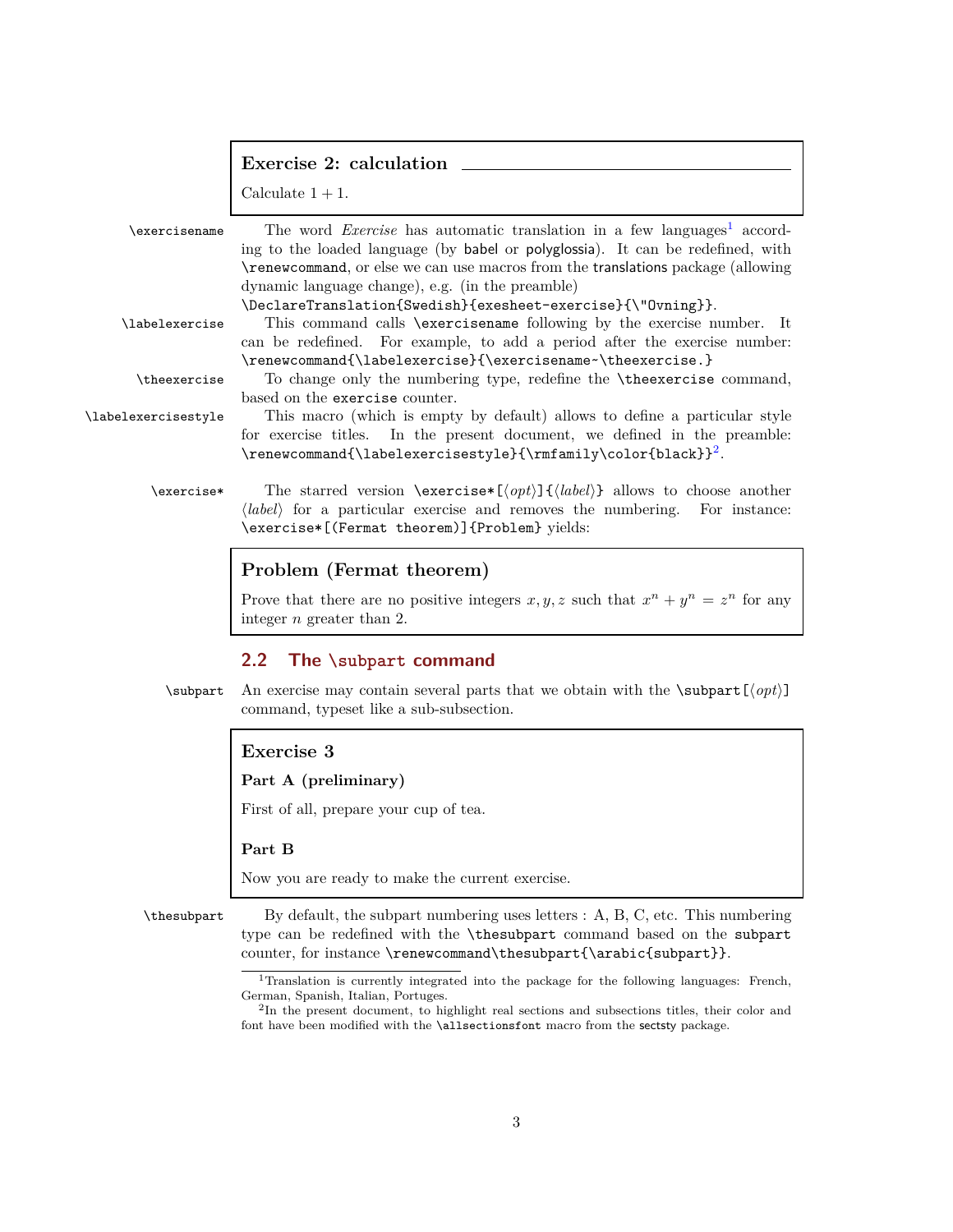|                     | Exercise 2: calculation                                                                                                                                                                                                                                                                                               |
|---------------------|-----------------------------------------------------------------------------------------------------------------------------------------------------------------------------------------------------------------------------------------------------------------------------------------------------------------------|
|                     | Calculate $1 + 1$ .                                                                                                                                                                                                                                                                                                   |
| \exercisename       | The word <i>Exercise</i> has automatic translation in a few languages <sup>1</sup> accord-<br>ing to the loaded language (by babel or polyglossia). It can be redefined, with<br>\renewcommand, or else we can use macros from the translations package (allowing<br>dynamic language change), e.g. (in the preamble) |
| \labelexercise      | \DeclareTranslation{Swedish}{exesheet-exercise}{\"Ovning}}.<br>This command calls <i>sexercisename</i> following by the exercise number. It<br>can be redefined. For example, to add a period after the exercise number:                                                                                              |
|                     | \renewcommand{\labelexercise}{\exercisename~\theexercise.}                                                                                                                                                                                                                                                            |
| \theexercise        | To change only the numbering type, redefine the <i>\theexercise</i> command,<br>based on the exercise counter.                                                                                                                                                                                                        |
| \labelexercisestyle | This macro (which is empty by default) allows to define a particular style<br>for exercise titles. In the present document, we defined in the preamble:<br>\renewcommand{\labelexercisestyle}{\rmfamily\color{black}} <sup>2</sup> .                                                                                  |
| \exercise*          | The starred version $\text{exercises}(\{opt\} \{\{label\}\}$ allows to choose another<br>(label) for a particular exercise and removes the numbering. For instance:<br>\exercise*[(Fermat theorem)]{Problem} yields:                                                                                                  |
|                     |                                                                                                                                                                                                                                                                                                                       |

# **Problem (Fermat theorem)**

Prove that there are no positive integers  $x, y, z$  such that  $x^n + y^n = z^n$  for any integer *n* greater than 2.

# <span id="page-2-0"></span>**2.2 The \subpart command**

 $\sup_{\partial f}$  An exercise may contain several parts that we obtain with the  $\sub{opt}$ command, typeset like a sub-subsection.

# **Exercise 3**

#### **Part A (preliminary)**

First of all, prepare your cup of tea.

#### **Part B**

Now you are ready to make the current exercise.

\thesubpart By default, the subpart numbering uses letters : A, B, C, etc. This numbering type can be redefined with the \thesubpart command based on the subpart counter, for instance \renewcommand\thesubpart{\arabic{subpart}}.

<span id="page-2-1"></span><sup>&</sup>lt;sup>1</sup>Translation is currently integrated into the package for the following languages: French, German, Spanish, Italian, Portuges.

<span id="page-2-2"></span><sup>2</sup> In the present document, to highlight real sections and subsections titles, their color and font have been modified with the \allsectionsfont macro from the sectsty package.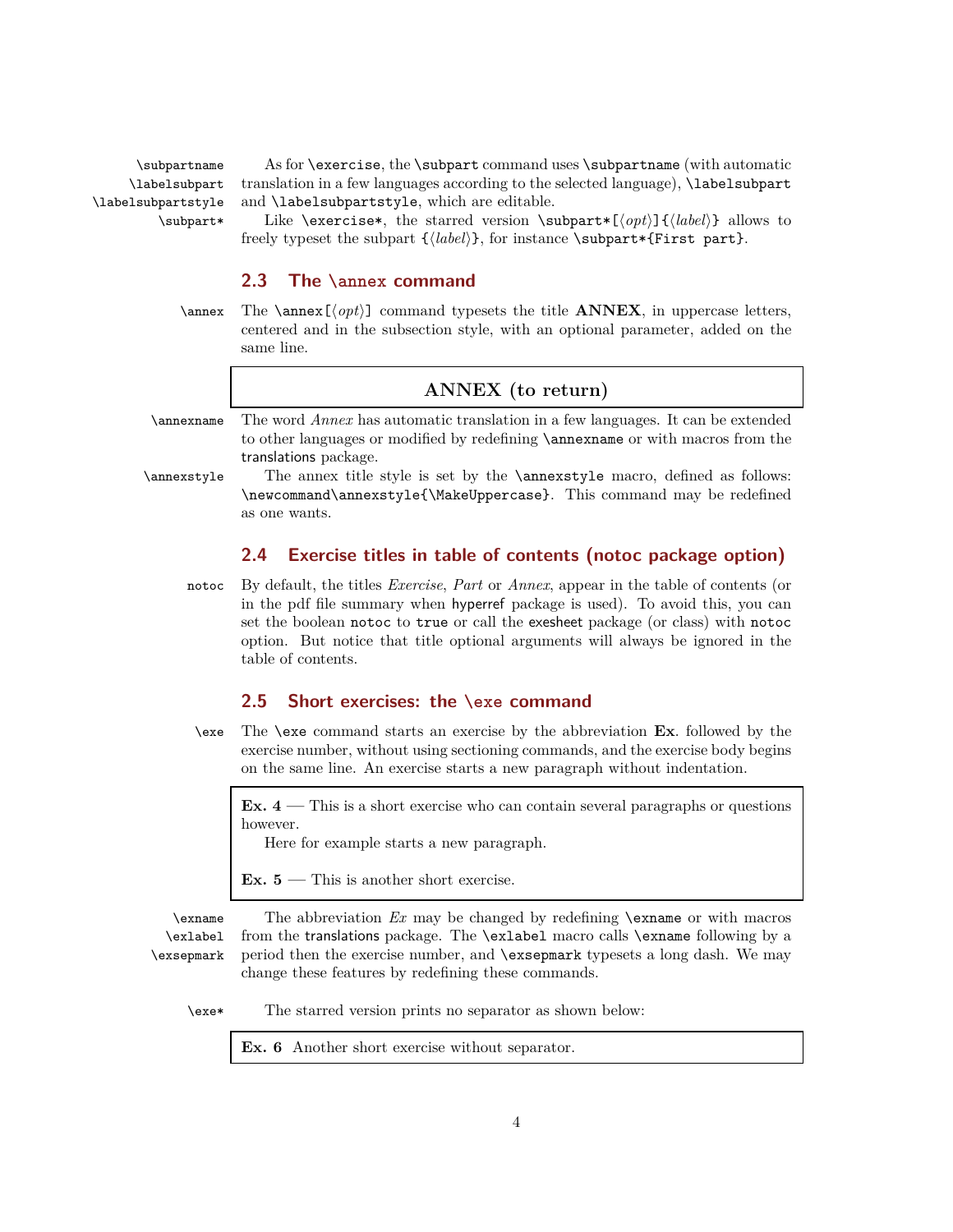\labelsubpart \labelsubpartstyle

\subpartname As for \exercise, the \subpart command uses \subpartname (with automatic translation in a few languages according to the selected language), \labelsubpart and \labelsubpartstyle, which are editable.

\subpart\* Like \exercise\*, the starred version \subpart\*[\*opt*}]{\label\}} allows to freely typeset the subpart  ${\langle label \rangle}$ , for instance \subpart\*{First part}.

#### <span id="page-3-0"></span>**2.3 The \annex command**

 $\langle \phi \rangle$  The  $\langle \phi \rangle$  command typesets the title **ANNEX**, in uppercase letters, centered and in the subsection style, with an optional parameter, added on the same line.

#### **ANNEX (to return)**

\annexname The word *Annex* has automatic translation in a few languages. It can be extended to other languages or modified by redefining \annexname or with macros from the translations package.

\annexstyle The annex title style is set by the \annexstyle macro, defined as follows: \newcommand\annexstyle{\MakeUppercase}. This command may be redefined as one wants.

# <span id="page-3-1"></span>**2.4 Exercise titles in table of contents (notoc package option)**

notoc By default, the titles *Exercise*, *Part* or *Annex*, appear in the table of contents (or in the pdf file summary when hyperref package is used). To avoid this, you can set the boolean notoc to true or call the exesheet package (or class) with notoc option. But notice that title optional arguments will always be ignored in the table of contents.

# <span id="page-3-2"></span>**2.5 Short exercises: the \exe command**

\exe The \exe command starts an exercise by the abbreviation **Ex**. followed by the exercise number, without using sectioning commands, and the exercise body begins on the same line. An exercise starts a new paragraph without indentation.

**Ex. 4 —** This is a short exercise who can contain several paragraphs or questions however.

Here for example starts a new paragraph.

**Ex. 5 —** This is another short exercise.

\exname The abbreviation *Ex* may be changed by redefining \exname or with macros \exlabel \exsepmark from the translations package. The \exlabel macro calls \exname following by a period then the exercise number, and \exsepmark typesets a long dash. We may change these features by redefining these commands.

\exe\* The starred version prints no separator as shown below:

**Ex. 6** Another short exercise without separator.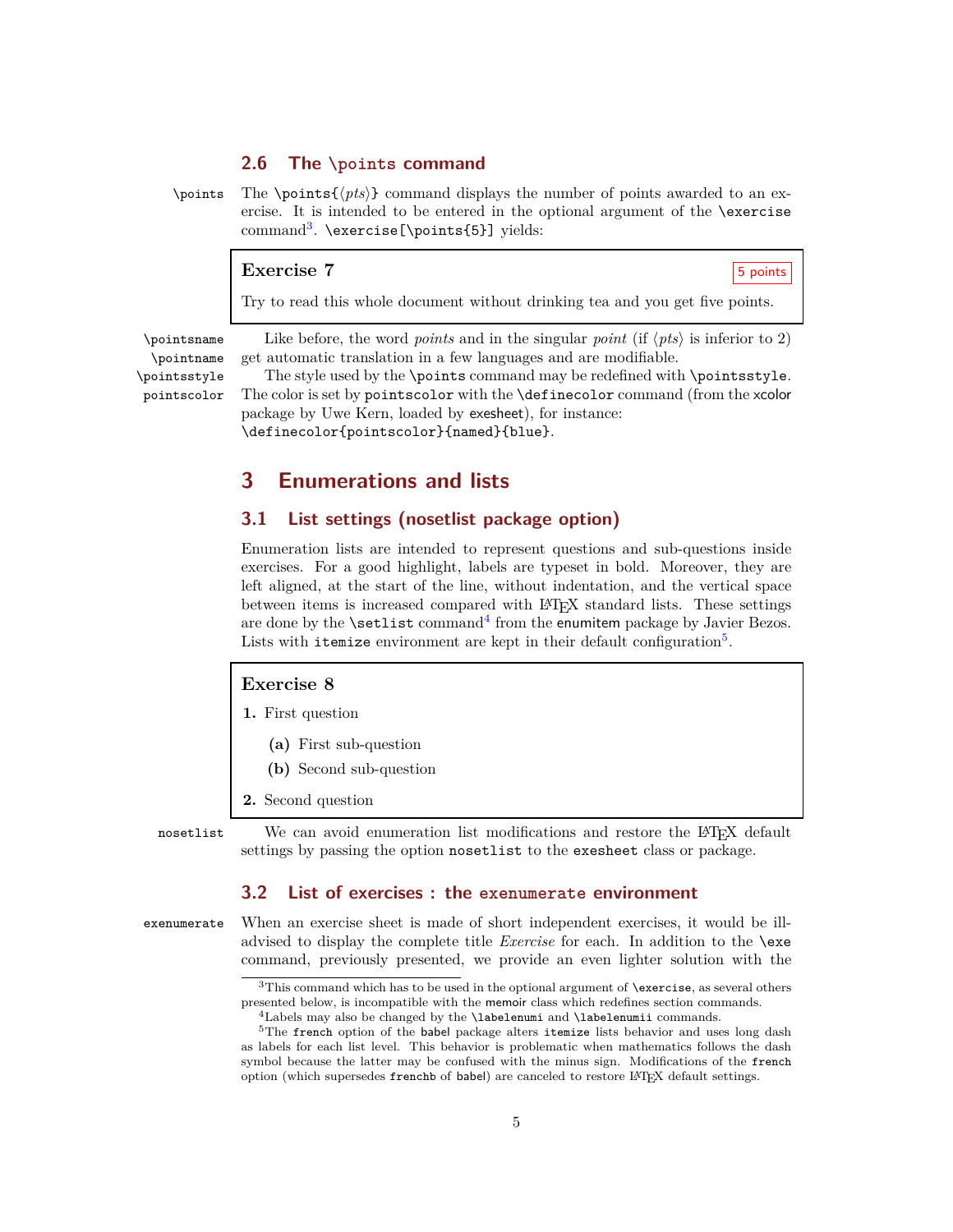### <span id="page-4-0"></span>**2.6 The \points command**

 $\points$  The  $\points{\*pts*\}$  command displays the number of points awarded to an exercise. It is intended to be entered in the optional argument of the \exercise command<sup>[3](#page-4-4)</sup>. \exercise[\points{5}] yields:

#### **Exercise 7** 5 points

Try to read this whole document without drinking tea and you get five points.

 $\text{point}$  Like before, the word *points* and in the singular *point* (if  $\langle pts \rangle$  is inferior to 2)  $\text{point}$  get automatic translation in a few languages and are modifiable. \pointname get automatic translation in a few languages and are modifiable.

\pointsstyle The style used by the \points command may be redefined with \pointsstyle. pointscolor The color is set by pointscolor with the \definecolor command (from the xcolor package by Uwe Kern, loaded by exesheet), for instance: \definecolor{pointscolor}{named}{blue}.

# <span id="page-4-2"></span><span id="page-4-1"></span>**3 Enumerations and lists**

#### **3.1 List settings (nosetlist package option)**

Enumeration lists are intended to represent questions and sub-questions inside exercises. For a good highlight, labels are typeset in bold. Moreover, they are left aligned, at the start of the line, without indentation, and the vertical space between items is increased compared with L<sup>A</sup>TEX standard lists. These settings are done by the **\setlist** command<sup>[4](#page-4-5)</sup> from the enumitem package by Javier Bezos. Lists with itemize environment are kept in their default configuration<sup>[5](#page-4-6)</sup>.

#### **Exercise 8**

- **1.** First question
	- **(a)** First sub-question
	- **(b)** Second sub-question
- **2.** Second question

nosetlist We can avoid enumeration list modifications and restore the LAT<sub>EX</sub> default settings by passing the option nosetlist to the exesheet class or package.

# <span id="page-4-3"></span>**3.2 List of exercises : the exenumerate environment**

exenumerate When an exercise sheet is made of short independent exercises, it would be illadvised to display the complete title *Exercise* for each. In addition to the \exe command, previously presented, we provide an even lighter solution with the

<sup>&</sup>lt;sup>3</sup>This command which has to be used in the optional argument of **\exercise**, as several others presented below, is incompatible with the memoir class which redefines section commands.

<span id="page-4-6"></span><span id="page-4-5"></span><span id="page-4-4"></span><sup>4</sup>Labels may also be changed by the \labelenumi and \labelenumii commands.

<sup>&</sup>lt;sup>5</sup>The french option of the babel package alters itemize lists behavior and uses long dash as labels for each list level. This behavior is problematic when mathematics follows the dash symbol because the latter may be confused with the minus sign. Modifications of the french option (which supersedes frenchb of babel) are canceled to restore L<sup>A</sup>TEX default settings.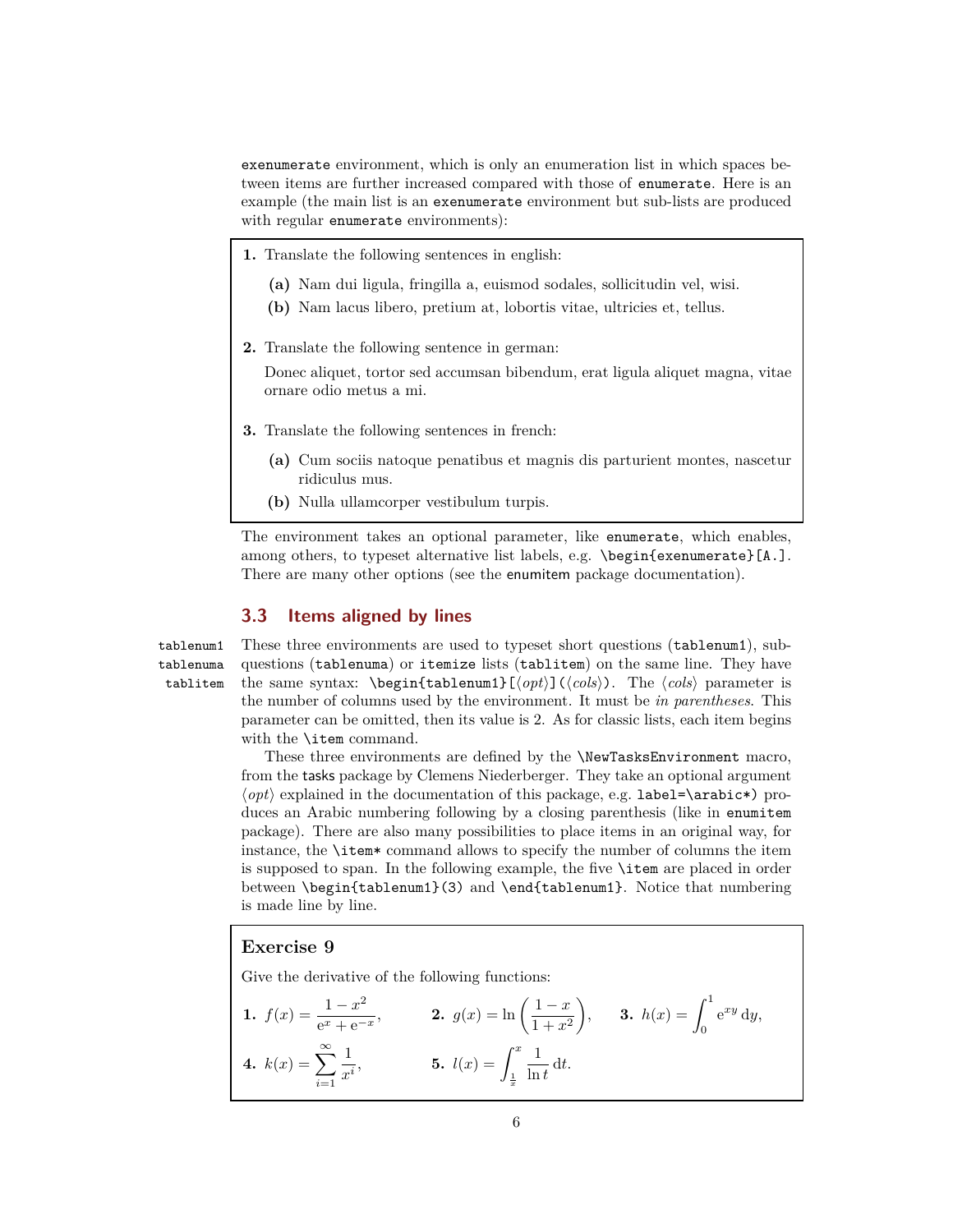exenumerate environment, which is only an enumeration list in which spaces between items are further increased compared with those of enumerate. Here is an example (the main list is an exenumerate environment but sub-lists are produced with regular enumerate environments):

- **1.** Translate the following sentences in english:
	- **(a)** Nam dui ligula, fringilla a, euismod sodales, sollicitudin vel, wisi.
	- **(b)** Nam lacus libero, pretium at, lobortis vitae, ultricies et, tellus.
- **2.** Translate the following sentence in german:

Donec aliquet, tortor sed accumsan bibendum, erat ligula aliquet magna, vitae ornare odio metus a mi.

- **3.** Translate the following sentences in french:
	- **(a)** Cum sociis natoque penatibus et magnis dis parturient montes, nascetur ridiculus mus.
	- **(b)** Nulla ullamcorper vestibulum turpis.

The environment takes an optional parameter, like enumerate, which enables, among others, to typeset alternative list labels, e.g. \begin{exenumerate}[A.]. There are many other options (see the enumitem package documentation).

#### <span id="page-5-0"></span>**3.3 Items aligned by lines**

tablenuma tablitem

tablenum1 These three environments are used to typeset short questions (tablenum1), subquestions (tablenuma) or itemize lists (tablitem) on the same line. They have the same syntax:  $\begin{cases} \begin{pmatrix} \frac{\cosh}{\cosh} \end{pmatrix} & \text{The } \cosh \right) & \text{The } \cosh \right) \end{cases}$ the number of columns used by the environment. It must be *in parentheses*. This parameter can be omitted, then its value is 2. As for classic lists, each item begins with the **\item** command.

> These three environments are defined by the \NewTasksEnvironment macro, from the tasks package by Clemens Niederberger. They take an optional argument  $\langle opt \rangle$  explained in the documentation of this package, e.g. label=\arabic\*) produces an Arabic numbering following by a closing parenthesis (like in enumitem package). There are also many possibilities to place items in an original way, for instance, the \item\* command allows to specify the number of columns the item is supposed to span. In the following example, the five \item are placed in order between \begin{tablenum1}(3) and \end{tablenum1}. Notice that numbering is made line by line.

#### **Exercise 9**

Give the derivative of the following functions:

**1.** 
$$
f(x) = \frac{1 - x^2}{e^x + e^{-x}}
$$
,   
**2.**  $g(x) = \ln\left(\frac{1 - x}{1 + x^2}\right)$ ,   
**3.**  $h(x) = \int_0^1 e^{xy} dy$ ,   
**4.**  $k(x) = \sum_{i=1}^\infty \frac{1}{x^i}$ ,   
**5.**  $l(x) = \int_{\frac{1}{x}}^x \frac{1}{\ln t} dt$ .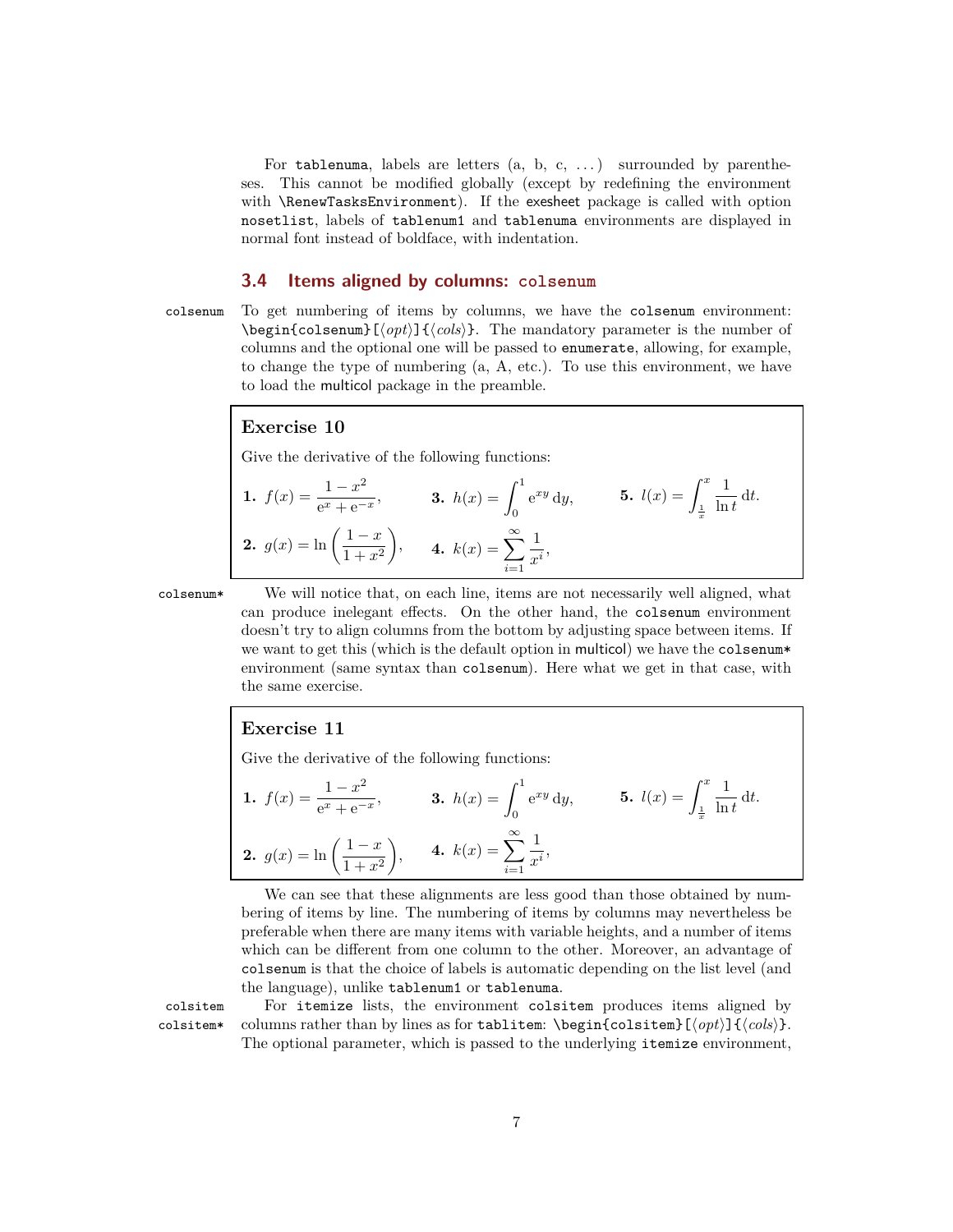For tablenuma, labels are letters  $(a, b, c, ...)$  surrounded by parentheses. This cannot be modified globally (except by redefining the environment with \RenewTasksEnvironment). If the exesheet package is called with option nosetlist, labels of tablenum1 and tablenuma environments are displayed in normal font instead of boldface, with indentation.

#### <span id="page-6-0"></span>**3.4 Items aligned by columns: colsenum**

colsenum To get numbering of items by columns, we have the colsenum environment:  $\begin{bmatrix} \Phi(t) \end{bmatrix}$   $\{ \c{obj}\}.$  The mandatory parameter is the number of columns and the optional one will be passed to enumerate, allowing, for example, to change the type of numbering (a, A, etc.). To use this environment, we have to load the multicol package in the preamble.

# **Exercise 10**

Give the derivative of the following functions:

**1.** 
$$
f(x) = \frac{1 - x^2}{e^x + e^{-x}}
$$
, **3.**  $h(x) = \int_0^1 e^{xy} dy$ , **5.**  $l(x) = \int_{\frac{1}{x}}^x \frac{1}{\ln t} dt$ .  
\n**2.**  $g(x) = \ln\left(\frac{1 - x}{1 + x^2}\right)$ , **4.**  $k(x) = \sum_{i=1}^\infty \frac{1}{x^i}$ ,

colsenum\* We will notice that, on each line, items are not necessarily well aligned, what can produce inelegant effects. On the other hand, the colsenum environment doesn't try to align columns from the bottom by adjusting space between items. If we want to get this (which is the default option in multicol) we have the colsenum\* environment (same syntax than colsenum). Here what we get in that case, with the same exercise.

#### **Exercise 11**

Give the derivative of the following functions:

**1.** 
$$
f(x) = \frac{1 - x^2}{e^x + e^{-x}}
$$
, **3.**  $h(x) = \int_0^1 e^{xy} dy$ , **5.**  $l(x) = \int_{\frac{1}{x}}^x \frac{1}{\ln t} dt$ .  
\n**2.**  $g(x) = \ln\left(\frac{1 - x}{1 + x^2}\right)$ , **4.**  $k(x) = \sum_{i=1}^\infty \frac{1}{x^i}$ ,

We can see that these alignments are less good than those obtained by numbering of items by line. The numbering of items by columns may nevertheless be preferable when there are many items with variable heights, and a number of items which can be different from one column to the other. Moreover, an advantage of colsenum is that the choice of labels is automatic depending on the list level (and the language), unlike tablenum1 or tablenuma.

colsitem For itemize lists, the environment colsitem produces items aligned by colsitem\* columns rather than by lines as for tablitem:  $\begin{equation}$  $\{opt\}$  $\{cols\}.$ The optional parameter, which is passed to the underlying itemize environment,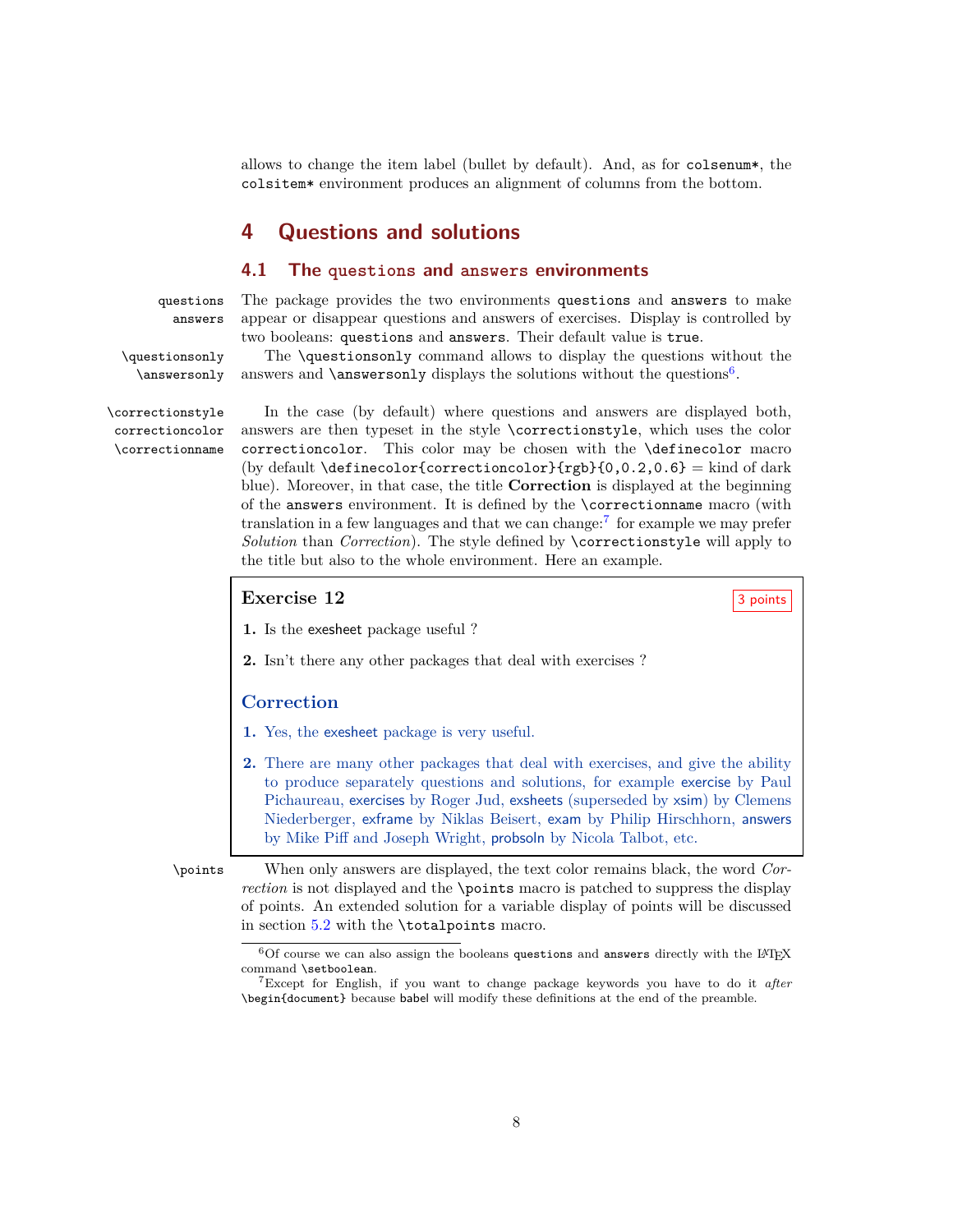allows to change the item label (bullet by default). And, as for colsenum\*, the colsitem\* environment produces an alignment of columns from the bottom.

# <span id="page-7-1"></span><span id="page-7-0"></span>**4 Questions and solutions**

#### **4.1 The questions and answers environments**

questions The package provides the two environments questions and answers to make answers appear or disappear questions and answers of exercises. Display is controlled by two booleans: questions and answers. Their default value is true.

\questionsonly The \questionsonly command allows to display the questions without the \answersonly answers and \answersonly displays the solutions without the questions<sup>[6](#page-7-2)</sup>.

correctioncolor \correctionname

\correctionstyle In the case (by default) where questions and answers are displayed both, answers are then typeset in the style \correctionstyle, which uses the color correctioncolor. This color may be chosen with the \definecolor macro (by default  $\def\{\gamma\in\mathcal{C}\}\$  = kind of dark blue). Moreover, in that case, the title **Correction** is displayed at the beginning of the answers environment. It is defined by the \correctionname macro (with translation in a few languages and that we can change:[7](#page-7-3) for example we may prefer *Solution* than *Correction*). The style defined by \correctionstyle will apply to the title but also to the whole environment. Here an example.

# <span id="page-7-4"></span>**Exercise 12** 3 points

**1.** Is the exesheet package useful ?

**2.** Isn't there any other packages that deal with exercises ?

#### **Correction**

- **1.** Yes, the exesheet package is very useful.
- **2.** There are many other packages that deal with exercises, and give the ability to produce separately questions and solutions, for example exercise by Paul Pichaureau, exercises by Roger Jud, exsheets (superseded by xsim) by Clemens Niederberger, exframe by Niklas Beisert, exam by Philip Hirschhorn, answers by Mike Piff and Joseph Wright, probsoln by Nicola Talbot, etc.

\points When only answers are displayed, the text color remains black, the word *Correction* is not displayed and the \points macro is patched to suppress the display of points. An extended solution for a variable display of points will be discussed in section [5.2](#page-9-1) with the \totalpoints macro.

<span id="page-7-2"></span> $6$ Of course we can also assign the booleans questions and answers directly with the LAT<sub>E</sub>X command \setboolean.

<span id="page-7-3"></span><sup>7</sup>Except for English, if you want to change package keywords you have to do it *after* \begin{document} because babel will modify these definitions at the end of the preamble.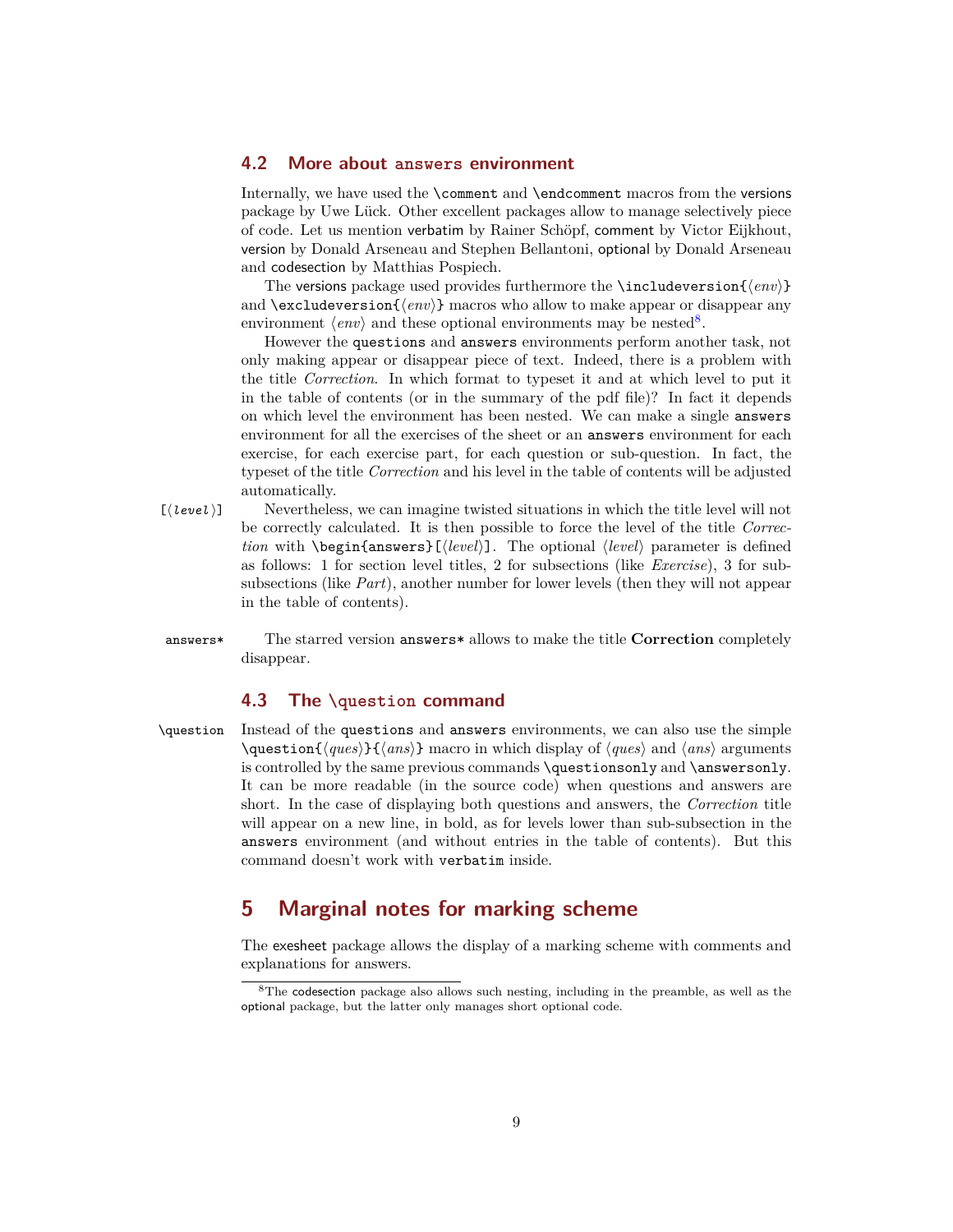### <span id="page-8-0"></span>**4.2 More about answers environment**

Internally, we have used the \comment and \endcomment macros from the versions package by Uwe Lück. Other excellent packages allow to manage selectively piece of code. Let us mention verbatim by Rainer Schöpf, comment by Victor Eijkhout, version by Donald Arseneau and Stephen Bellantoni, optional by Donald Arseneau and codesection by Matthias Pospiech.

The versions package used provides furthermore the **\includeversion**{ $\langle env \rangle$ } and  $\text{excluster}$  in  $\langle env \rangle$  macros who allow to make appear or disappear any environment  $\langle env \rangle$  and these optional environments may be nested<sup>[8](#page-8-3)</sup>.

However the questions and answers environments perform another task, not only making appear or disappear piece of text. Indeed, there is a problem with the title *Correction*. In which format to typeset it and at which level to put it in the table of contents (or in the summary of the pdf file)? In fact it depends on which level the environment has been nested. We can make a single answers environment for all the exercises of the sheet or an answers environment for each exercise, for each exercise part, for each question or sub-question. In fact, the typeset of the title *Correction* and his level in the table of contents will be adjusted automatically.

- [*(level*)] Nevertheless, we can imagine twisted situations in which the title level will not be correctly calculated. It is then possible to force the level of the title *Correction* with  $\begin{cases} \text{length} \\ \text{level} \end{cases}$ . The optional  $\text{level}$  parameter is defined as follows: 1 for section level titles, 2 for subsections (like *Exercise*), 3 for subsubsections (like *Part*), another number for lower levels (then they will not appear in the table of contents).
- answers\* The starred version answers\* allows to make the title **Correction** completely disappear.

#### <span id="page-8-1"></span>**4.3 The \question command**

\question Instead of the questions and answers environments, we can also use the simple  $\qquad$   $\qquad$   $\qquad$   $\qquad$   $\qquad$   $\qquad$   $\qquad$   $\qquad$   $\qquad$   $\qquad$   $\qquad$   $\qquad$   $\qquad$   $\qquad$   $\qquad$   $\qquad$   $\qquad$   $\qquad$   $\qquad$   $\qquad$   $\qquad$   $\qquad$   $\qquad$   $\qquad$   $\qquad$   $\qquad$   $\qquad$   $\qquad$   $\qquad$   $\qquad$   $\qquad$   $\qquad$   $\qquad$   $\qquad$   $\qquad$   $\qquad$   $\qquad$ is controlled by the same previous commands \questionsonly and \answersonly. It can be more readable (in the source code) when questions and answers are short. In the case of displaying both questions and answers, the *Correction* title will appear on a new line, in bold, as for levels lower than sub-subsection in the answers environment (and without entries in the table of contents). But this command doesn't work with verbatim inside.

# <span id="page-8-2"></span>**5 Marginal notes for marking scheme**

The exesheet package allows the display of a marking scheme with comments and explanations for answers.

<span id="page-8-3"></span> $8$ The codesection package also allows such nesting, including in the preamble, as well as the optional package, but the latter only manages short optional code.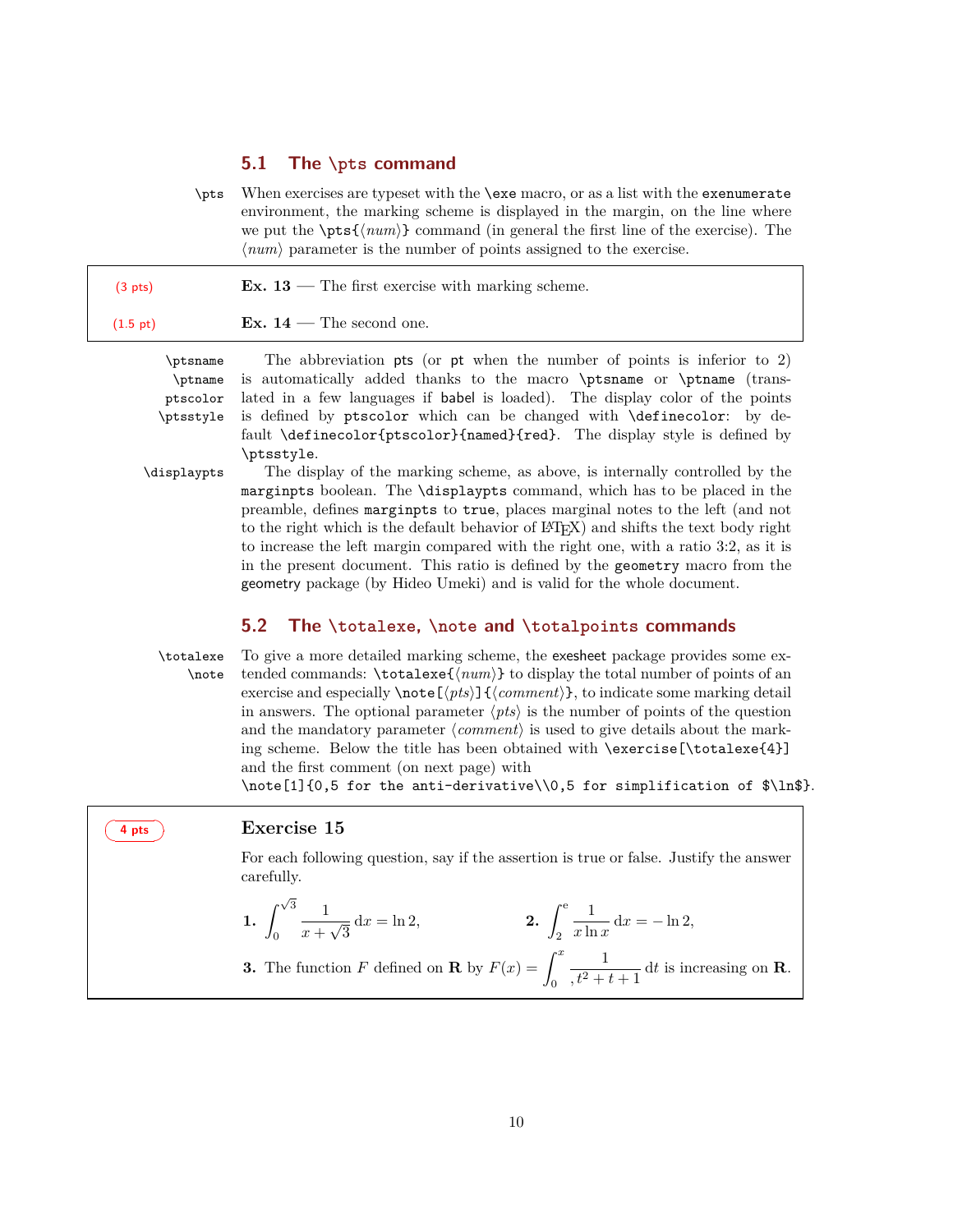#### <span id="page-9-0"></span>**5.1 The \pts command**

\pts When exercises are typeset with the \exe macro, or as a list with the exenumerate environment, the marking scheme is displayed in the margin, on the line where we put the  $\pts{\langle num \rangle}$  command (in general the first line of the exercise). The  $\langle num \rangle$  parameter is the number of points assigned to the exercise.

| $(3 \text{ pts})$ | Ex. $13$ — The first exercise with marking scheme. |  |
|-------------------|----------------------------------------------------|--|
|                   | $\sim$                                             |  |

(1.5 pt) **Ex.**  $14$  — The second one.

\ptname ptscolor \ptsstyle

\ptsname The abbreviation pts (or pt when the number of points is inferior to 2) is automatically added thanks to the macro \ptsname or \ptname (translated in a few languages if babel is loaded). The display color of the points is defined by ptscolor which can be changed with \definecolor: by default \definecolor{ptscolor}{named}{red}. The display style is defined by \ptsstyle.

\displaypts The display of the marking scheme, as above, is internally controlled by the marginpts boolean. The \displaypts command, which has to be placed in the preamble, defines marginpts to true, places marginal notes to the left (and not to the right which is the default behavior of L<sup>A</sup>TEX) and shifts the text body right to increase the left margin compared with the right one, with a ratio 3:2, as it is in the present document. This ratio is defined by the geometry macro from the geometry package (by Hideo Umeki) and is valid for the whole document.

# <span id="page-9-1"></span>**5.2 The \totalexe, \note and \totalpoints commands**

\totalexe To give a more detailed marking scheme, the exesheet package provides some ex- \note tended commands: \totalexe{/num}} to display the total number of points of an exercise and especially  $\note[*pts*]$ {*}, to indicate some marking detail* in answers. The optional parameter  $\langle pts \rangle$  is the number of points of the question and the mandatory parameter  $\langle comment \rangle$  is used to give details about the marking scheme. Below the title has been obtained with \exercise[\totalexe{4}] and the first comment (on next page) with

 $\net{1}{0,5}$  for the anti-derivative $\0,5$  for simplification of  $\ln$$ .

### ☛ ✟ **4 pts** ✠  $\overline{\phantom{0}}$

#### <span id="page-9-2"></span>**Exercise 15**

For each following question, say if the assertion is true or false. Justify the answer carefully.

1. 
$$
\int_0^{\sqrt{3}} \frac{1}{x + \sqrt{3}} dx = \ln 2,
$$
  
2. 
$$
\int_2^e \frac{1}{x \ln x} dx = -\ln 2,
$$

**3.** The function *F* defined on **R** by 
$$
F(x) = \int_0^x \frac{1}{,t^2 + t + 1} dt
$$
 is increasing on **R**.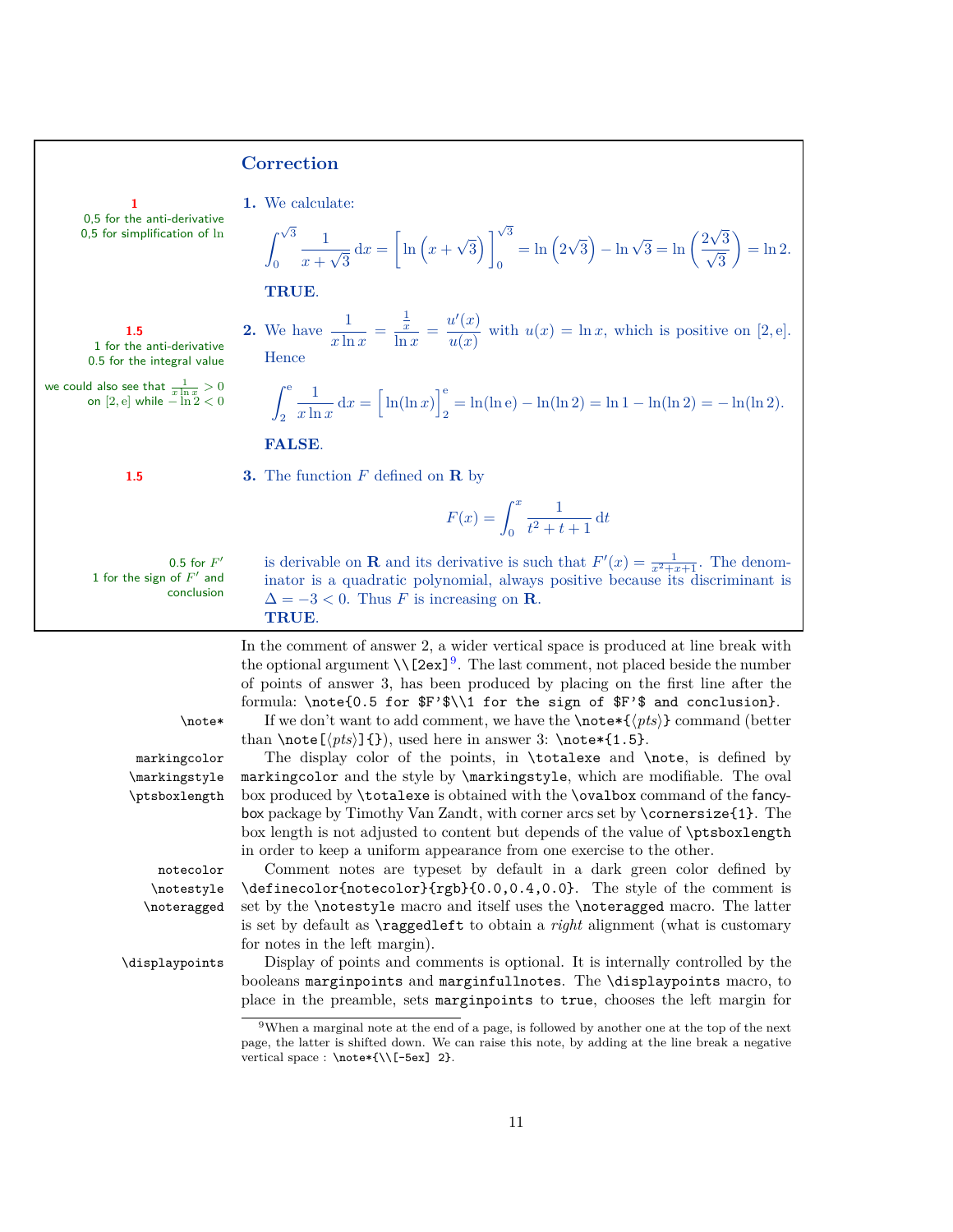#### **Correction**

0,5 for the anti-derivative  $0,5$  for simplification of  $\ln$ 

1 for the anti-derivative 0.5 for the integral value

**1 1.** We calculate:

$$
\int_0^{\sqrt{3}} \frac{1}{x + \sqrt{3}} dx = \left[ \ln \left( x + \sqrt{3} \right) \right]_0^{\sqrt{3}} = \ln \left( 2\sqrt{3} \right) - \ln \sqrt{3} = \ln \left( \frac{2\sqrt{3}}{\sqrt{3}} \right) = \ln 2.
$$

**TRUE**.

**2.** We have  $\frac{1}{x \ln x}$  = 1 *x*  $\frac{\frac{1}{x}}{\ln x} = \frac{u'(x)}{u(x)}$ **1.5 2.** We have  $\frac{1}{x \ln x} = \frac{x}{\ln x} = \frac{\alpha}{u(x)}$  with  $u(x) = \ln x$ , which is positive on [2*,* e]. **Hence** 

$$
\int_2^e \frac{1}{x \ln x} dx = \left[ \ln(\ln x) \right]_2^e = \ln(\ln e) - \ln(\ln 2) = \ln 1 - \ln(\ln 2) = -\ln(\ln 2).
$$

#### **FALSE**.

we could also see that  $\frac{1}{x \ln x} > 0$ <br>on  $[2, e]$  while  $-\ln 2 < 0$ 

**1.5 3.** The function *F* defined on **R** by

$$
F(x) = \int_0^x \frac{1}{t^2 + t + 1} \, \mathrm{d}t
$$

1 for the sign of *F* ′ and conclusion

0.5 for *F'* is derivable on **R** and its derivative is such that  $F'(x) = \frac{1}{x^2+x+1}$ . The denominator is a quadratic polynomial, always positive because its discriminant is  $\Delta = -3 < 0$ . Thus *F* is increasing on **R**. **TRUE**.

> In the comment of answer 2, a wider vertical space is produced at line break with the optional argument  $\{\[2ex]\}^9$  $\{\[2ex]\}^9$ . The last comment, not placed beside the number of points of answer 3, has been produced by placing on the first line after the formula: \note{0.5 for \$F'\$\\1 for the sign of \$F'\$ and conclusion}.

> markingcolor and the style by \markingstyle, which are modifiable. The oval box produced by \totalexe is obtained with the \ovalbox command of the fancybox package by Timothy Van Zandt, with corner arcs set by \cornersize{1}. The box length is not adjusted to content but depends of the value of \ptsboxlength

than  $\note[\langle pts \rbrace]{})$ , used here in answer 3:  $\note*(1.5)$ .

 $\mathcal{L}_{\text{not}}$  If we don't want to add comment, we have the  $\not\subseteq_{\{pts\}}$  command (better

markingcolor The display color of the points, in \totalexe and \note, is defined by \markingstyle \ptsboxlength

\notestyle \noteragged

in order to keep a uniform appearance from one exercise to the other. notecolor Comment notes are typeset by default in a dark green color defined by \definecolor{notecolor}{rgb}{0.0,0.4,0.0}. The style of the comment is set by the \notestyle macro and itself uses the \noteragged macro. The latter is set by default as \raggedleft to obtain a *right* alignment (what is customary for notes in the left margin).

\displaypoints Display of points and comments is optional. It is internally controlled by the booleans marginpoints and marginfullnotes. The \displaypoints macro, to place in the preamble, sets marginpoints to true, chooses the left margin for

<span id="page-10-0"></span> $9$ When a marginal note at the end of a page, is followed by another one at the top of the next page, the latter is shifted down. We can raise this note, by adding at the line break a negative vertical space : \note\*{\\[-5ex] 2}.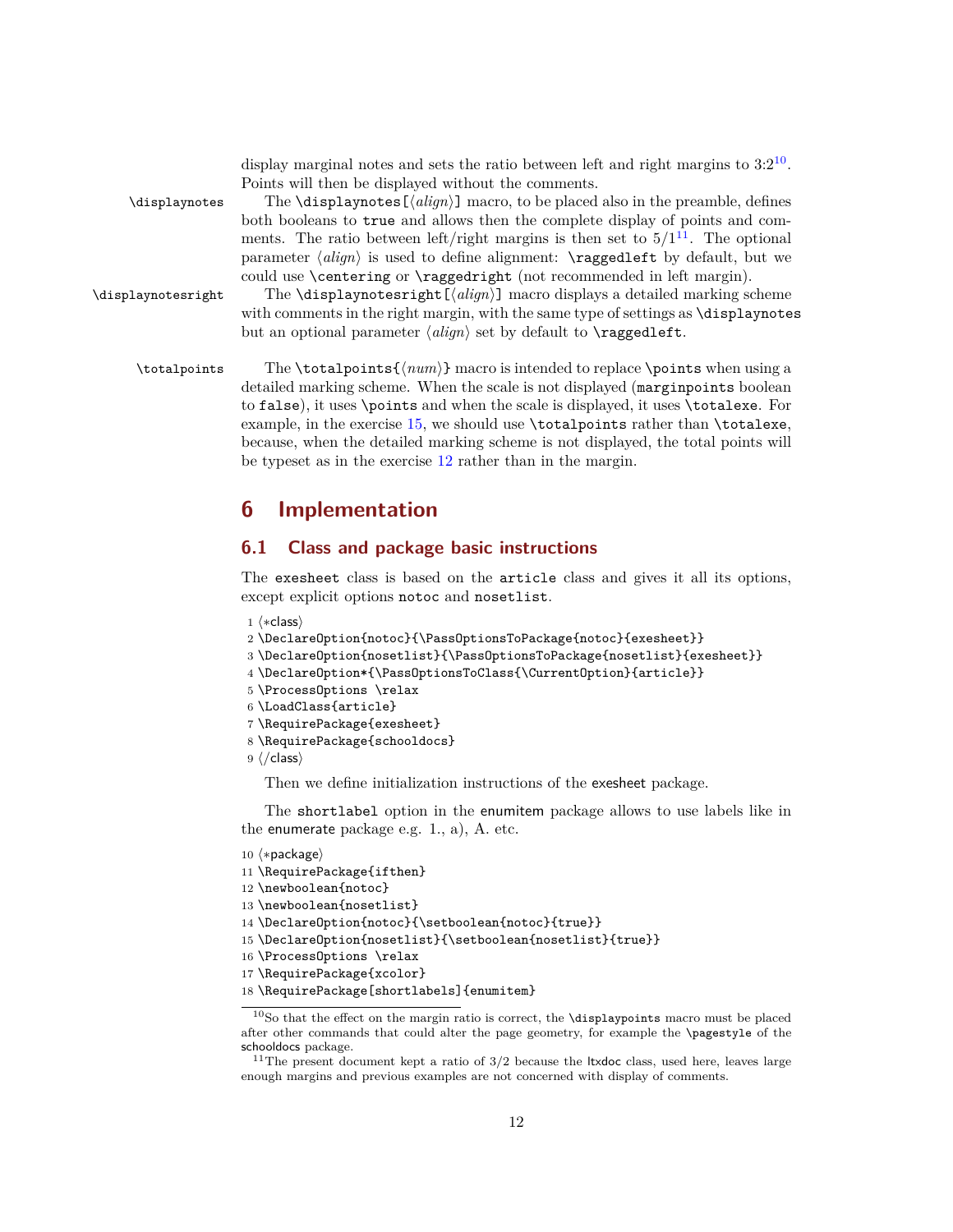|                    | display marginal notes and sets the ratio between left and right margins to $3:2^{10}$ .<br>Points will then be displayed without the comments.                                               |
|--------------------|-----------------------------------------------------------------------------------------------------------------------------------------------------------------------------------------------|
| \displaynotes      | The $\displaystyle \Delta$ is play notes $\left[ \langle align \rangle \right]$ macro, to be placed also in the preamble, defines                                                             |
|                    | both booleans to true and allows then the complete display of points and com-                                                                                                                 |
|                    | ments. The ratio between left/right margins is then set to $5/1^{11}$ . The optional<br>parameter $\langle align \rangle$ is used to define alignment: <b>\raggedleft</b> by default, but we  |
|                    | could use \centering or \raggedright (not recommended in left margin).                                                                                                                        |
| \displaynotesright | The <i>\displaynotesright</i> $[\langle align \rangle]$ macro displays a detailed marking scheme<br>with comments in the right margin, with the same type of settings as <b>\displaynotes</b> |
|                    | but an optional parameter $\langle align \rangle$ set by default to $\text{raggedleft}.$                                                                                                      |
| \totalpoints       | The \totalpoints{ $\langle num \rangle$ } macro is intended to replace \points when using a                                                                                                   |
|                    | detailed marking scheme. When the scale is not displayed (margin points boolean                                                                                                               |
|                    | to false), it uses \points and when the scale is displayed, it uses \totalexe. For                                                                                                            |
|                    | example, in the exercise $15$ , we should use <b>\totalpoints</b> rather than <b>\totalexe</b> ,                                                                                              |
|                    | because, when the detailed marking scheme is not displayed, the total points will                                                                                                             |

# <span id="page-11-0"></span>**6 Implementation**

## <span id="page-11-1"></span>**6.1 Class and package basic instructions**

be typeset as in the exercise [12](#page-7-4) rather than in the margin.

The exesheet class is based on the article class and gives it all its options, except explicit options notoc and nosetlist.

```
1 \langle *class \rangle
```

```
2 \DeclareOption{notoc}{\PassOptionsToPackage{notoc}{exesheet}}
```

```
3 \DeclareOption{nosetlist}{\PassOptionsToPackage{nosetlist}{exesheet}}
```

```
4 \DeclareOption*{\PassOptionsToClass{\CurrentOption}{article}}
```

```
5 \ProcessOptions \relax
```

```
6 \LoadClass{article}
```

```
7 \RequirePackage{exesheet}
```

```
8 \RequirePackage{schooldocs}
```

```
9 \langle /class \rangle
```
Then we define initialization instructions of the exesheet package.

The shortlabel option in the enumitem package allows to use labels like in the enumerate package e.g. 1., a), A. etc.

```
10 \langle *package \rangle11 \RequirePackage{ifthen}
12 \newboolean{notoc}
13 \newboolean{nosetlist}
14 \DeclareOption{notoc}{\setboolean{notoc}{true}}
15 \DeclareOption{nosetlist}{\setboolean{nosetlist}{true}}
16 \ProcessOptions \relax
```

```
17 \RequirePackage{xcolor}
```

```
18 \RequirePackage[shortlabels]{enumitem}
```
<span id="page-11-2"></span> $^{10}\mathrm{So}$  that the effect on the margin ratio is correct, the **\displaypoints** macro must be placed after other commands that could alter the page geometry, for example the \pagestyle of the schooldocs package.

<span id="page-11-3"></span> $^{11}{\rm The}$  present document kept a ratio of 3/2 because the ltxdoc class, used here, leaves large enough margins and previous examples are not concerned with display of comments.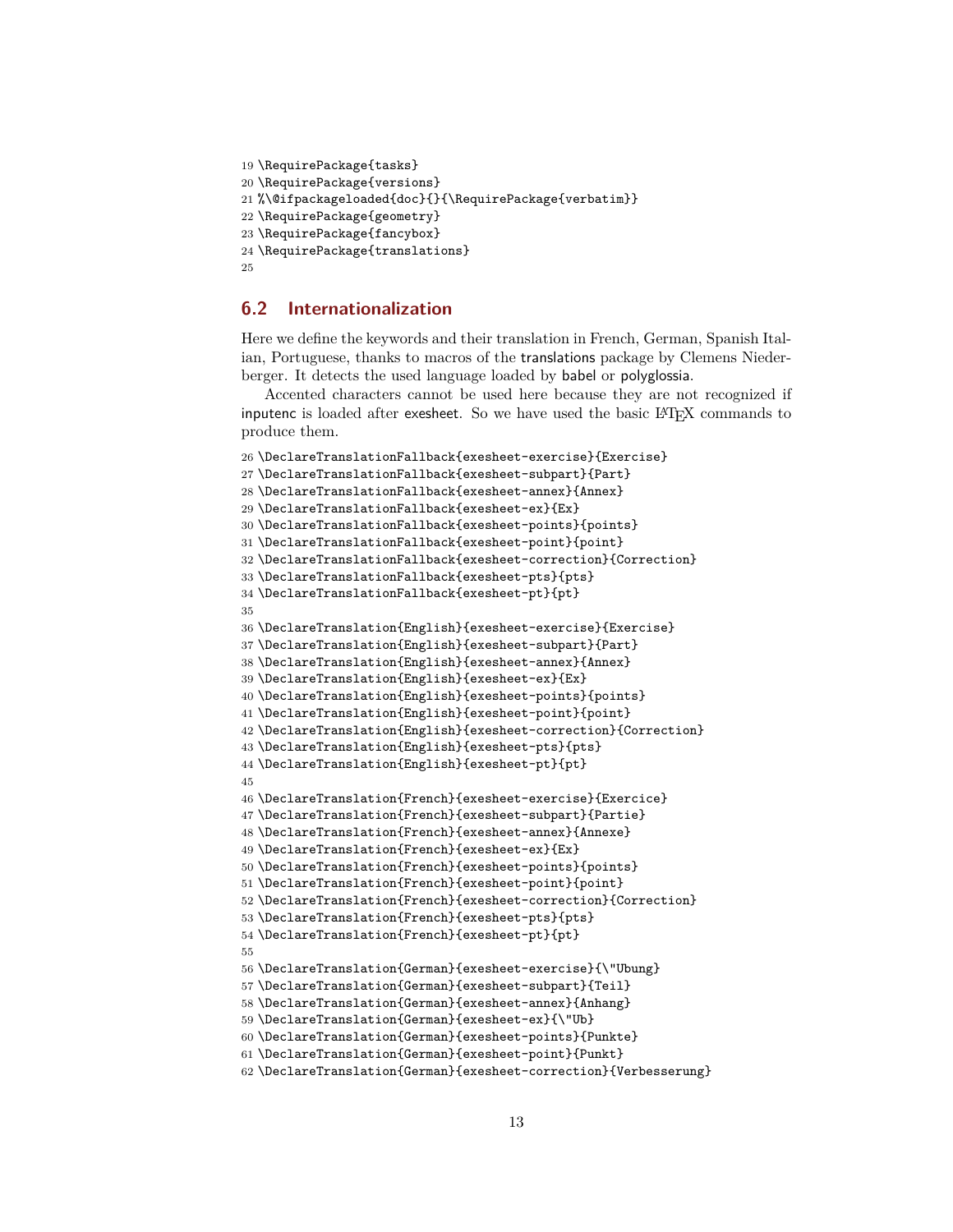```
19 \RequirePackage{tasks}
20 \RequirePackage{versions}
21 %\@ifpackageloaded{doc}{}{\RequirePackage{verbatim}}
22 \RequirePackage{geometry}
23 \RequirePackage{fancybox}
24 \RequirePackage{translations}
25
```
# <span id="page-12-0"></span>**6.2 Internationalization**

Here we define the keywords and their translation in French, German, Spanish Italian, Portuguese, thanks to macros of the translations package by Clemens Niederberger. It detects the used language loaded by babel or polyglossia.

Accented characters cannot be used here because they are not recognized if inputenc is loaded after exesheet. So we have used the basic L<sup>A</sup>TEX commands to produce them.

```
26 \DeclareTranslationFallback{exesheet-exercise}{Exercise}
27 \DeclareTranslationFallback{exesheet-subpart}{Part}
28 \DeclareTranslationFallback{exesheet-annex}{Annex}
29 \DeclareTranslationFallback{exesheet-ex}{Ex}
30 \DeclareTranslationFallback{exesheet-points}{points}
31 \DeclareTranslationFallback{exesheet-point}{point}
32 \DeclareTranslationFallback{exesheet-correction}{Correction}
33 \DeclareTranslationFallback{exesheet-pts}{pts}
34 \DeclareTranslationFallback{exesheet-pt}{pt}
35
36 \DeclareTranslation{English}{exesheet-exercise}{Exercise}
37 \DeclareTranslation{English}{exesheet-subpart}{Part}
38 \DeclareTranslation{English}{exesheet-annex}{Annex}
39 \DeclareTranslation{English}{exesheet-ex}{Ex}
40 \DeclareTranslation{English}{exesheet-points}{points}
41 \DeclareTranslation{English}{exesheet-point}{point}
42 \DeclareTranslation{English}{exesheet-correction}{Correction}
43 \DeclareTranslation{English}{exesheet-pts}{pts}
44 \DeclareTranslation{English}{exesheet-pt}{pt}
45
46 \DeclareTranslation{French}{exesheet-exercise}{Exercice}
47 \DeclareTranslation{French}{exesheet-subpart}{Partie}
48 \DeclareTranslation{French}{exesheet-annex}{Annexe}
49 \DeclareTranslation{French}{exesheet-ex}{Ex}
50 \DeclareTranslation{French}{exesheet-points}{points}
51 \DeclareTranslation{French}{exesheet-point}{point}
52 \DeclareTranslation{French}{exesheet-correction}{Correction}
53 \DeclareTranslation{French}{exesheet-pts}{pts}
54 \DeclareTranslation{French}{exesheet-pt}{pt}
55
56 \DeclareTranslation{German}{exesheet-exercise}{\"Ubung}
57 \DeclareTranslation{German}{exesheet-subpart}{Teil}
58 \DeclareTranslation{German}{exesheet-annex}{Anhang}
59 \DeclareTranslation{German}{exesheet-ex}{\"Ub}
60 \DeclareTranslation{German}{exesheet-points}{Punkte}
61 \DeclareTranslation{German}{exesheet-point}{Punkt}
62 \DeclareTranslation{German}{exesheet-correction}{Verbesserung}
```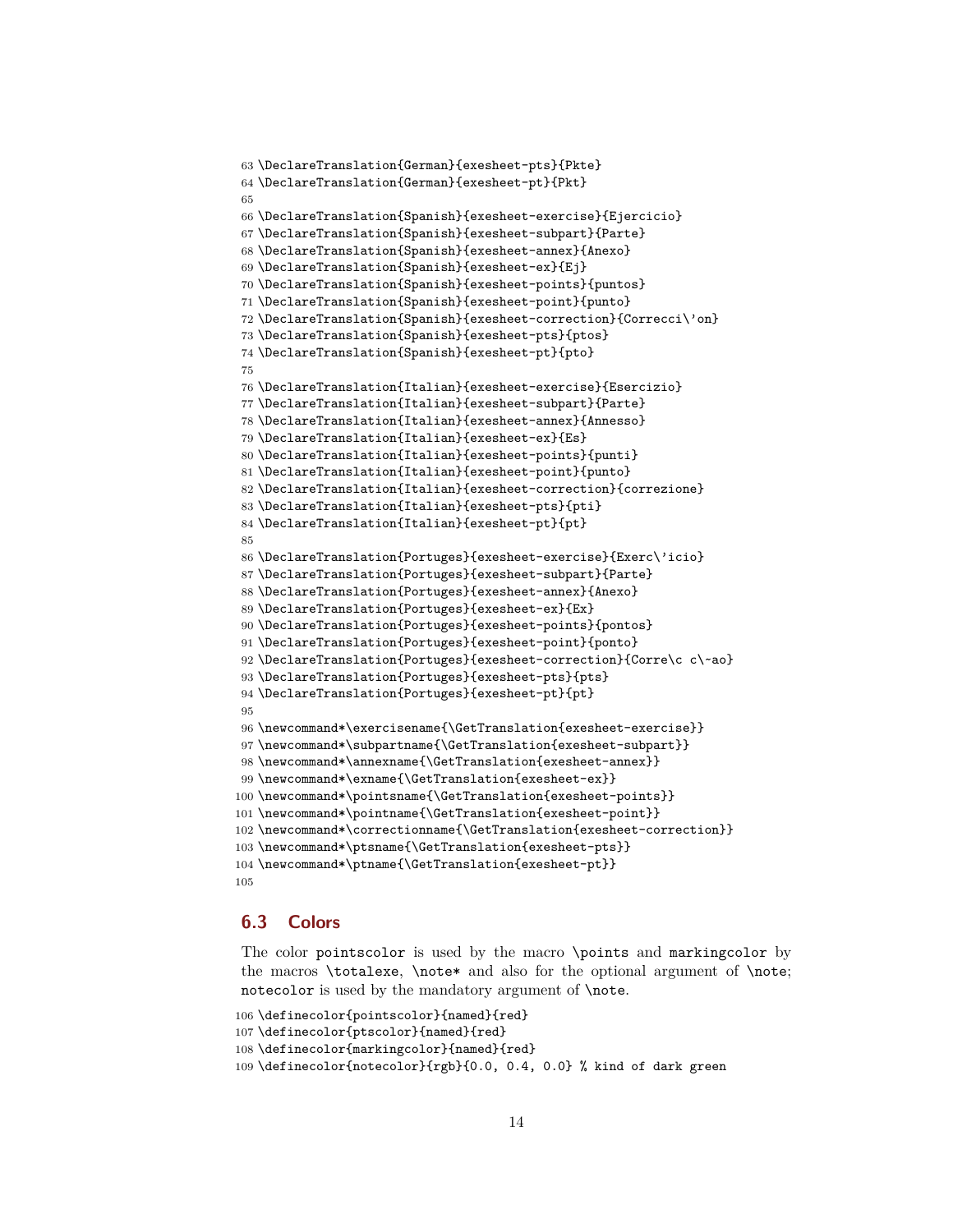```
63 \DeclareTranslation{German}{exesheet-pts}{Pkte}
64 \DeclareTranslation{German}{exesheet-pt}{Pkt}
65
66 \DeclareTranslation{Spanish}{exesheet-exercise}{Ejercicio}
67 \DeclareTranslation{Spanish}{exesheet-subpart}{Parte}
68 \DeclareTranslation{Spanish}{exesheet-annex}{Anexo}
69 \DeclareTranslation{Spanish}{exesheet-ex}{Ej}
70 \DeclareTranslation{Spanish}{exesheet-points}{puntos}
71 \DeclareTranslation{Spanish}{exesheet-point}{punto}
72 \DeclareTranslation{Spanish}{exesheet-correction}{Correcci\'on}
73 \DeclareTranslation{Spanish}{exesheet-pts}{ptos}
74 \DeclareTranslation{Spanish}{exesheet-pt}{pto}
75
76 \DeclareTranslation{Italian}{exesheet-exercise}{Esercizio}
77 \DeclareTranslation{Italian}{exesheet-subpart}{Parte}
78 \DeclareTranslation{Italian}{exesheet-annex}{Annesso}
79 \DeclareTranslation{Italian}{exesheet-ex}{Es}
80 \DeclareTranslation{Italian}{exesheet-points}{punti}
81 \DeclareTranslation{Italian}{exesheet-point}{punto}
82 \DeclareTranslation{Italian}{exesheet-correction}{correzione}
83 \DeclareTranslation{Italian}{exesheet-pts}{pti}
84 \DeclareTranslation{Italian}{exesheet-pt}{pt}
85
86 \DeclareTranslation{Portuges}{exesheet-exercise}{Exerc\'icio}
87 \DeclareTranslation{Portuges}{exesheet-subpart}{Parte}
88 \DeclareTranslation{Portuges}{exesheet-annex}{Anexo}
89 \DeclareTranslation{Portuges}{exesheet-ex}{Ex}
90 \DeclareTranslation{Portuges}{exesheet-points}{pontos}
91 \DeclareTranslation{Portuges}{exesheet-point}{ponto}
92 \DeclareTranslation{Portuges}{exesheet-correction}{Corre\c c\~ao}
93 \DeclareTranslation{Portuges}{exesheet-pts}{pts}
94 \DeclareTranslation{Portuges}{exesheet-pt}{pt}
95
96 \newcommand*\exercisename{\GetTranslation{exesheet-exercise}}
97 \newcommand*\subpartname{\GetTranslation{exesheet-subpart}}
98 \newcommand*\annexname{\GetTranslation{exesheet-annex}}
99 \newcommand*\exname{\GetTranslation{exesheet-ex}}
100 \newcommand*\pointsname{\GetTranslation{exesheet-points}}
101 \newcommand*\pointname{\GetTranslation{exesheet-point}}
102 \newcommand*\correctionname{\GetTranslation{exesheet-correction}}
103 \newcommand*\ptsname{\GetTranslation{exesheet-pts}}
104 \newcommand*\ptname{\GetTranslation{exesheet-pt}}
105
```
## <span id="page-13-0"></span>**6.3 Colors**

The color pointscolor is used by the macro \points and markingcolor by the macros \totalexe, \note\* and also for the optional argument of \note; notecolor is used by the mandatory argument of \note.

```
106 \definecolor{pointscolor}{named}{red}
107 \definecolor{ptscolor}{named}{red}
108 \definecolor{markingcolor}{named}{red}
109 \definecolor{notecolor}{rgb}{0.0, 0.4, 0.0} % kind of dark green
```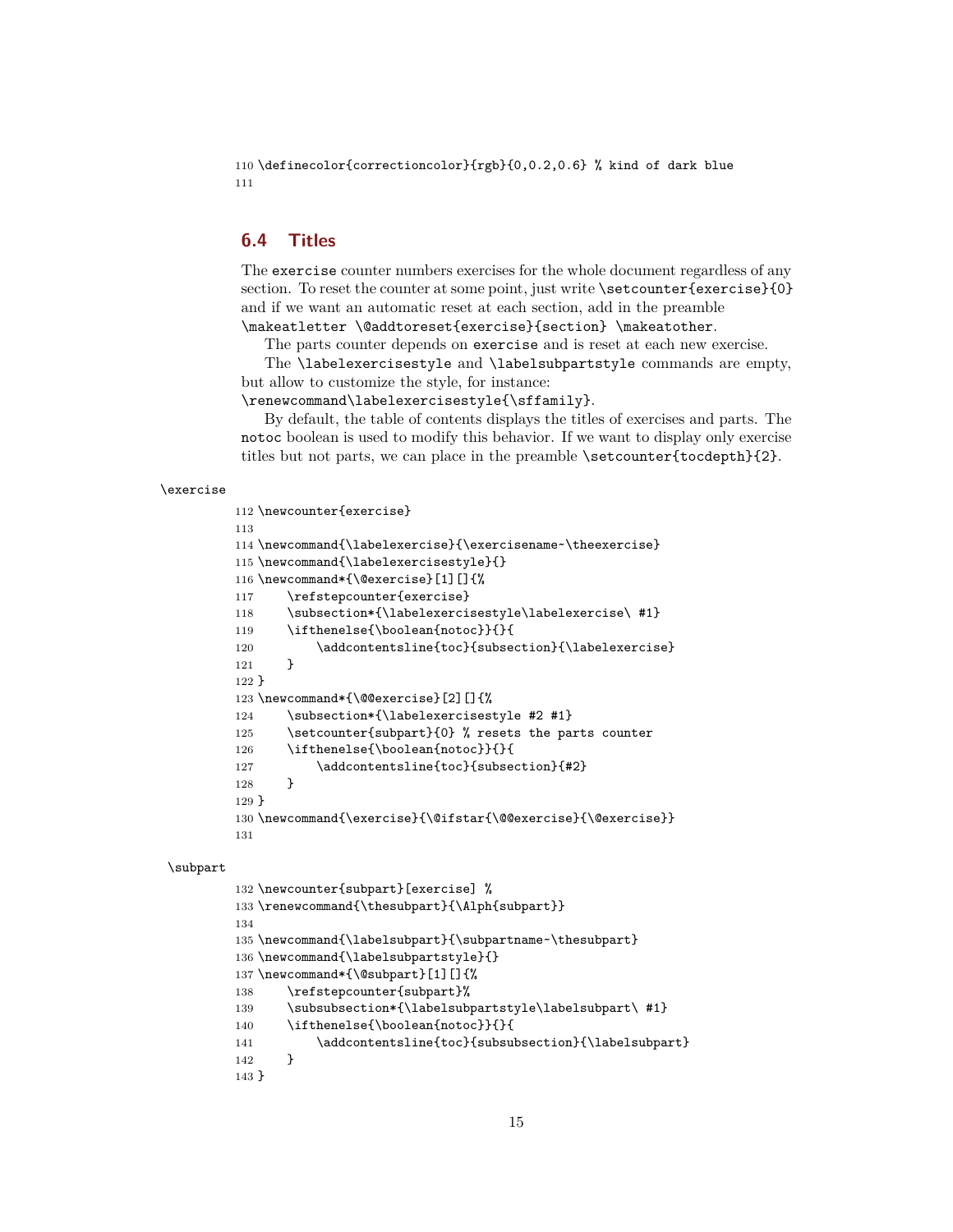110 \definecolor{correctioncolor}{rgb}{0,0.2,0.6} % kind of dark blue 111

# <span id="page-14-0"></span>**6.4 Titles**

The exercise counter numbers exercises for the whole document regardless of any section. To reset the counter at some point, just write \setcounter{exercise}{0} and if we want an automatic reset at each section, add in the preamble \makeatletter \@addtoreset{exercise}{section} \makeatother.

The parts counter depends on exercise and is reset at each new exercise.

The \labelexercisestyle and \labelsubpartstyle commands are empty, but allow to customize the style, for instance:

\renewcommand\labelexercisestyle{\sffamily}.

By default, the table of contents displays the titles of exercises and parts. The notoc boolean is used to modify this behavior. If we want to display only exercise titles but not parts, we can place in the preamble \setcounter{tocdepth}{2}.

#### \exercise

```
112 \newcounter{exercise}
113
114 \newcommand{\labelexercise}{\exercisename~\theexercise}
115 \newcommand{\labelexercisestyle}{}
116 \newcommand*{\@exercise}[1][]{%
117 \refstepcounter{exercise}
118 \subsection*{\labelexercisestyle\labelexercise\ #1}
119 \ifthenelse{\boolean{notoc}}{}{
120 \addcontentsline{toc}{subsection}{\labelexercise}
121 }
122 }
123 \newcommand*{\@@exercise}[2][]{%
124 \subsection*{\labelexercisestyle #2 #1}
125 \setcounter{subpart}{0} % resets the parts counter
126 \ifthenelse{\boolean{notoc}}{}{
127 \addcontentsline{toc}{subsection}{#2}
128 }
129 }
130 \newcommand{\exercise}{\@ifstar{\@@exercise}{\@exercise}}
131
```
#### \subpart

```
132 \newcounter{subpart}[exercise] %
133 \renewcommand{\thesubpart}{\Alph{subpart}}
134
135 \newcommand{\labelsubpart}{\subpartname~\thesubpart}
136 \newcommand{\labelsubpartstyle}{}
137 \newcommand*{\@subpart}[1][]{%
138 \refstepcounter{subpart}%
139 \subsubsection*{\labelsubpartstyle\labelsubpart\ #1}
140 \ifthenelse{\boolean{notoc}}{}{
141 \addcontentsline{toc}{subsubsection}{\labelsubpart}
142 }
143 }
```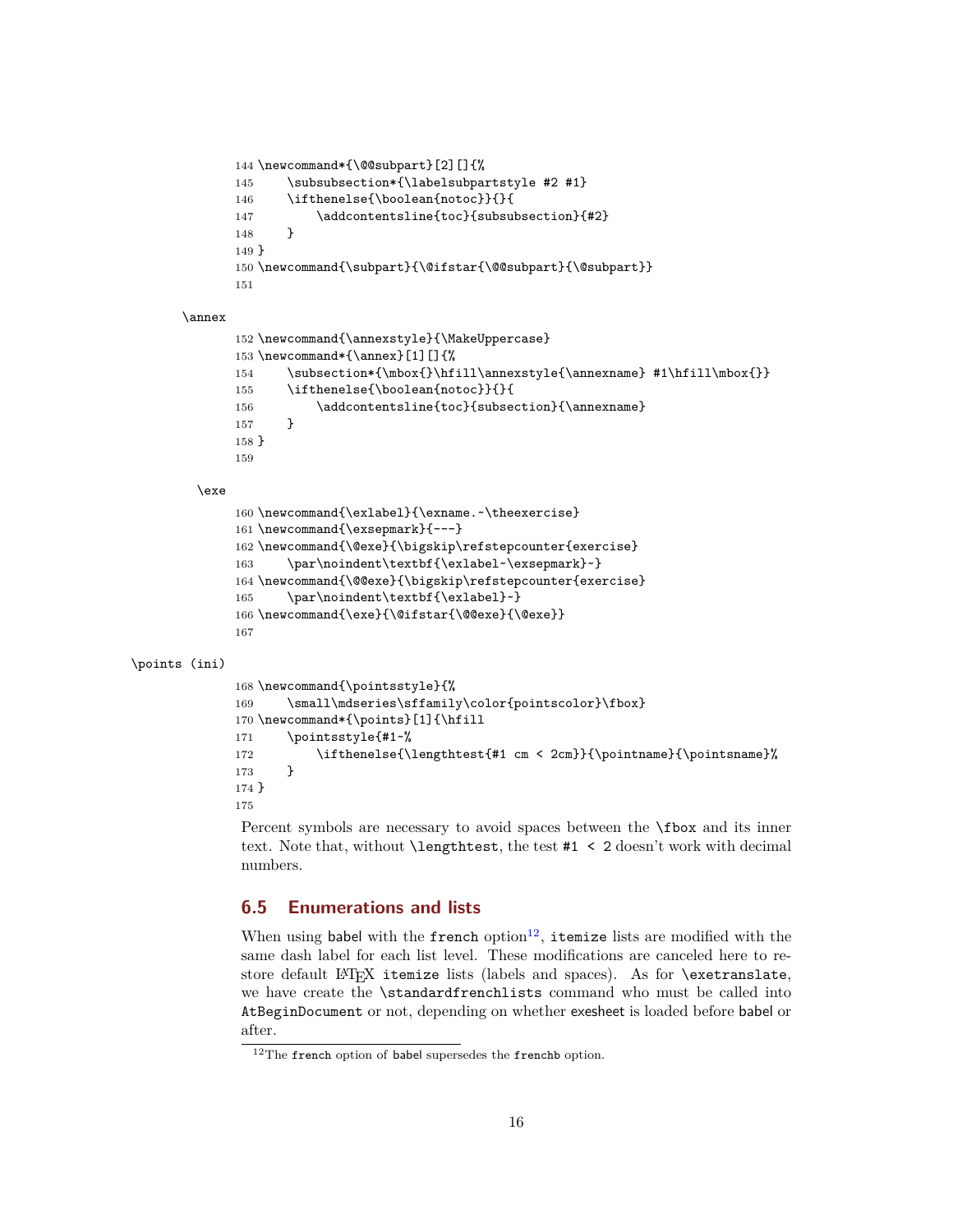```
144 \newcommand*{\@@subpart}[2][]{%
145 \subsubsection*{\labelsubpartstyle #2 #1}
146 \ifthenelse{\boolean{notoc}}{}{
147 \addcontentsline{toc}{subsubsection}{#2}
148 }
149 }
150 \newcommand{\subpart}{\@ifstar{\@@subpart}{\@subpart}}
151
```
#### \annex

```
152 \newcommand{\annexstyle}{\MakeUppercase}
153 \newcommand*{\annex}[1][]{%
154 \subsection*{\mbox{}\hfill\annexstyle{\annexname} #1\hfill\mbox{}}
155 \ifthenelse{\boolean{notoc}}{}{
156 \addcontentsline{toc}{subsection}{\annexname}
157 }
158 }
159
```
#### \exe

```
160 \newcommand{\exlabel}{\exname.~\theexercise}
161 \newcommand{\exsepmark}{---}
162 \newcommand{\@exe}{\bigskip\refstepcounter{exercise}
163 \par\noindent\textbf{\exlabel~\exsepmark}~}
164 \newcommand{\@@exe}{\bigskip\refstepcounter{exercise}
165 \par\noindent\textbf{\exlabel}~}
166 \newcommand{\exe}{\@ifstar{\@@exe}{\@exe}}
167
```
#### \points (ini)

```
168 \newcommand{\pointsstyle}{%
169 \small\mdseries\sffamily\color{pointscolor}\fbox}
170 \newcommand*{\points}[1]{\hfill
171 \pointsstyle{#1~%
172 \ifthenelse{\lengthtest{#1 cm < 2cm}}{\pointname}{\pointsname}%
173 }
174 }
175
```
Percent symbols are necessary to avoid spaces between the \fbox and its inner text. Note that, without \lengthtest, the test #1 < 2 doesn't work with decimal numbers.

# <span id="page-15-0"></span>**6.5 Enumerations and lists**

When using babel with the french  $\mathrm{option^{12}}$  $\mathrm{option^{12}}$  $\mathrm{option^{12}}$ , itemize lists are modified with the same dash label for each list level. These modifications are canceled here to restore default LATEX itemize lists (labels and spaces). As for \exetranslate, we have create the \standardfrenchlists command who must be called into AtBeginDocument or not, depending on whether exesheet is loaded before babel or after.

<span id="page-15-1"></span><sup>&</sup>lt;sup>12</sup>The french option of babel supersedes the frenchb option.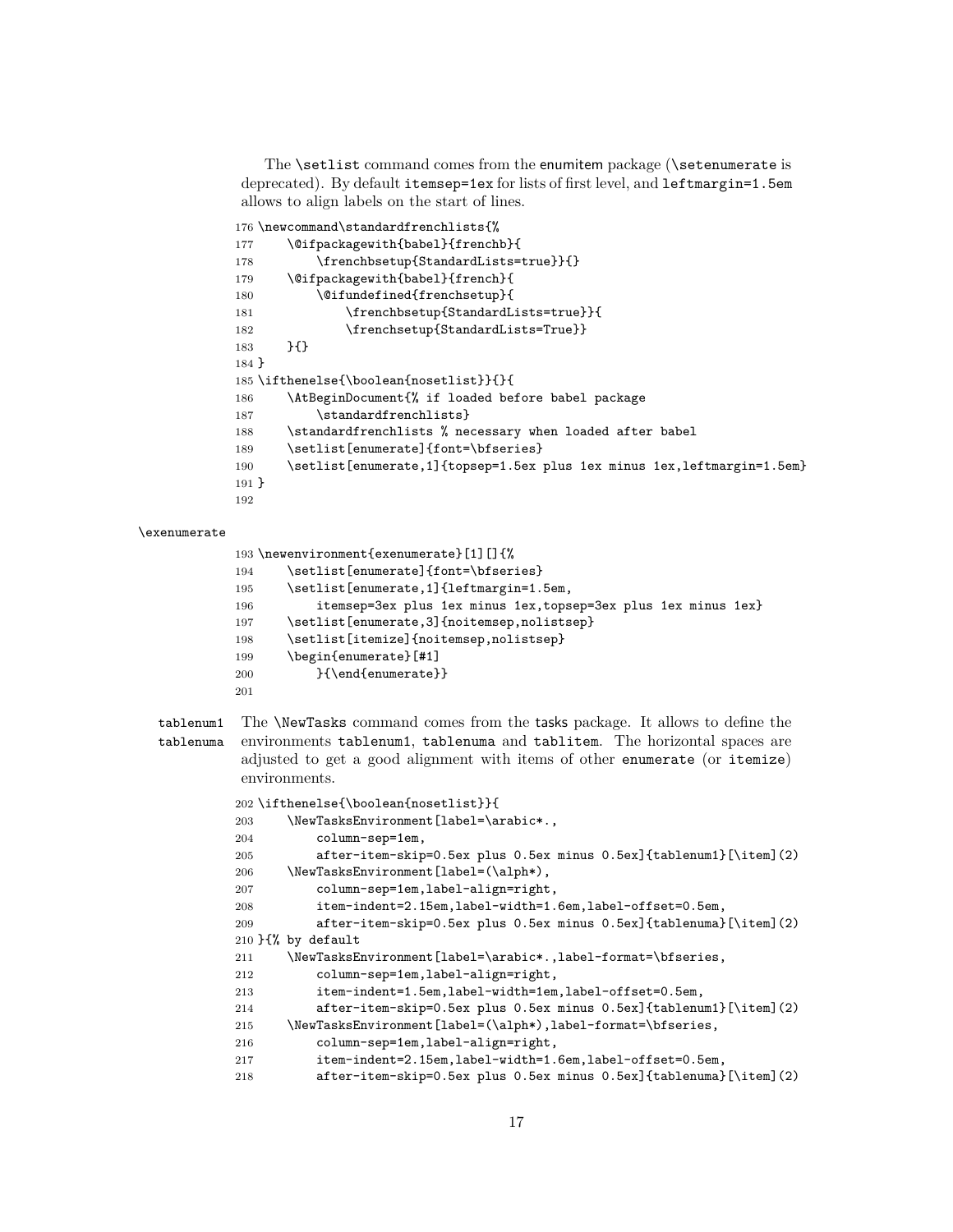The \setlist command comes from the enumitem package (\setenumerate is deprecated). By default itemsep=1ex for lists of first level, and leftmargin=1.5em allows to align labels on the start of lines.

```
176 \newcommand\standardfrenchlists{%
177 \@ifpackagewith{babel}{frenchb}{
178 \frenchbsetup{StandardLists=true}}{}
179 \@ifpackagewith{babel}{french}{
180 \@ifundefined{frenchsetup}{
181 \frenchbsetup{StandardLists=true}}{
182 \frenchsetup{StandardLists=True}}
183 }{}
184 }
185 \ifthenelse{\boolean{nosetlist}}{}{
186 \AtBeginDocument{% if loaded before babel package
187 \standardfrenchlists}
188 \standardfrenchlists % necessary when loaded after babel
189 \setlist[enumerate]{font=\bfseries}
190 \setlist[enumerate,1]{topsep=1.5ex plus 1ex minus 1ex,leftmargin=1.5em}
191 }
192
```
#### \exenumerate

|     | 193 \newenvironment{exenumerate}[1][]{%                        |
|-----|----------------------------------------------------------------|
| 194 | \setlist[enumerate]{font=\bfseries}                            |
| 195 | \setlist[enumerate,1]{leftmargin=1.5em,                        |
| 196 | itemsep=3ex plus 1ex minus 1ex, topsep=3ex plus 1ex minus 1ex} |
| 197 | \setlist[enumerate,3]{noitemsep,nolistsep}                     |
| 198 | \setlist[itemize]{noitemsep,nolistsep}                         |
| 199 | \begin{enumerate}[#1]                                          |
| 200 | }{\end{enumerate}}                                             |
| 201 |                                                                |

tablenum1 The \NewTasks command comes from the tasks package. It allows to define the tablenuma environments tablenum1, tablenuma and tablitem. The horizontal spaces are adjusted to get a good alignment with items of other enumerate (or itemize) environments.

|     | 202 \ifthenelse{\boolean{nosetlist}}{                              |
|-----|--------------------------------------------------------------------|
| 203 | \NewTasksEnvironment[label=\arabic*.,                              |
| 204 | column-sep=1em,                                                    |
| 205 | after-item-skip=0.5ex plus 0.5ex minus 0.5ex]{tablenum1}[\item](2) |
| 206 | \NewTasksEnvironment[label=(\alph*),                               |
| 207 | column-sep=1em, label-align=right,                                 |
| 208 | item-indent=2.15em, label-width=1.6em, label-offset=0.5em,         |
| 209 | after-item-skip=0.5ex plus 0.5ex minus 0.5ex]{tablenuma}[\item](2) |
|     | $210$ }{% by default                                               |
| 211 | \NewTasksEnvironment[label=\arabic*.,label-format=\bfseries,       |
| 212 | column-sep=1em, label-align=right,                                 |
| 213 | item-indent=1.5em, label-width=1em, label-offset=0.5em,            |
| 214 | after-item-skip=0.5ex plus 0.5ex minus 0.5ex]{tablenum1}[\item](2) |
| 215 | \NewTasksEnvironment[label=(\alph*),label-format=\bfseries,        |
| 216 | column-sep=1em, label-align=right,                                 |
| 217 | item-indent=2.15em, label-width=1.6em, label-offset=0.5em,         |
| 218 | after-item-skip=0.5ex plus 0.5ex minus 0.5ex]{tablenuma}[\item](2) |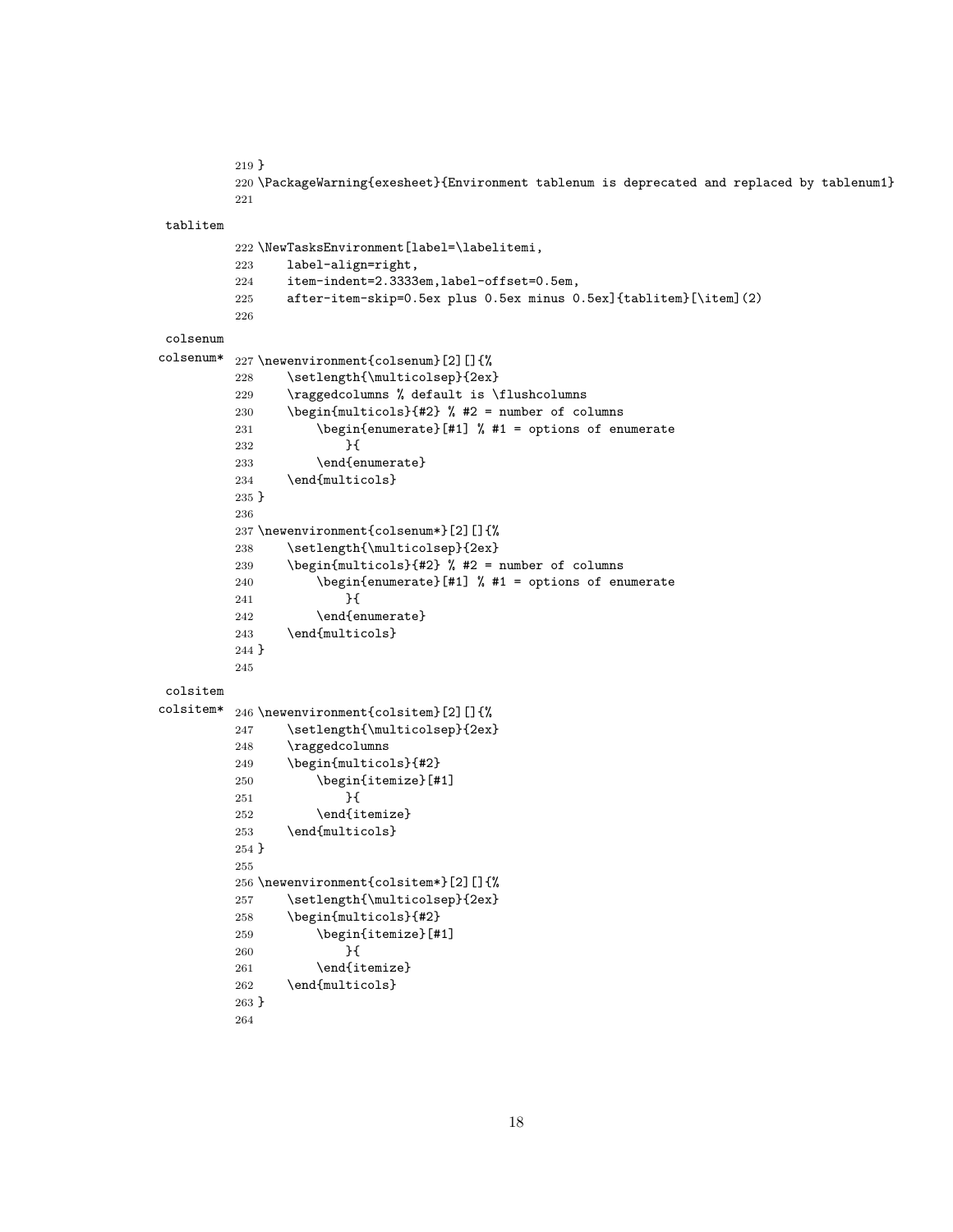```
219 }
```
 \PackageWarning{exesheet}{Environment tablenum is deprecated and replaced by tablenum1} 

#### tablitem

```
222 \NewTasksEnvironment[label=\labelitemi,
         223 label-align=right,
         224 item-indent=2.3333em,label-offset=0.5em,
         225 after-item-skip=0.5ex plus 0.5ex minus 0.5ex]{tablitem}[\item](2)
         226
colsenum
colsenum* 227 \newenvironment{colsenum}[2][]{%
         228 \setlength{\multicolsep}{2ex}
         229 \raggedcolumns % default is \flushcolumns
         230 \begin{multicols}{#2} % #2 = number of columns
         231 \begin{enumerate}[#1] % #1 = options of enumerate
         232 }{
         233 \end{enumerate}
         234 \end{multicols}
         235 }
         236
         237 \newenvironment{colsenum*}[2][]{%
         238 \setlength{\multicolsep}{2ex}
         239 \begin{multicols}{#2} % #2 = number of columns
         240 \begin{enumerate}[#1] % #1 = options of enumerate
         241 } {
         242 \end{enumerate}
         243 \end{multicols}
         244 }
         245
colsitem
colsitem* 246 \newenvironment{colsitem}[2][]{%
         247 \setlength{\multicolsep}{2ex}
         248 \raggedcolumns
         249 \begin{multicols}{#2}
         250 \begin{itemize}[#1]
         251 } {
         252 \end{itemize}
         253 \end{multicols}
         254 }
         255
         256 \newenvironment{colsitem*}[2][]{%
         257 \setlength{\multicolsep}{2ex}
         258 \begin{multicols}{#2}
         259 \begin{itemize}[#1]
         260 }{
         261 \end{itemize}
         262 \end{multicols}
         263 }
         264
```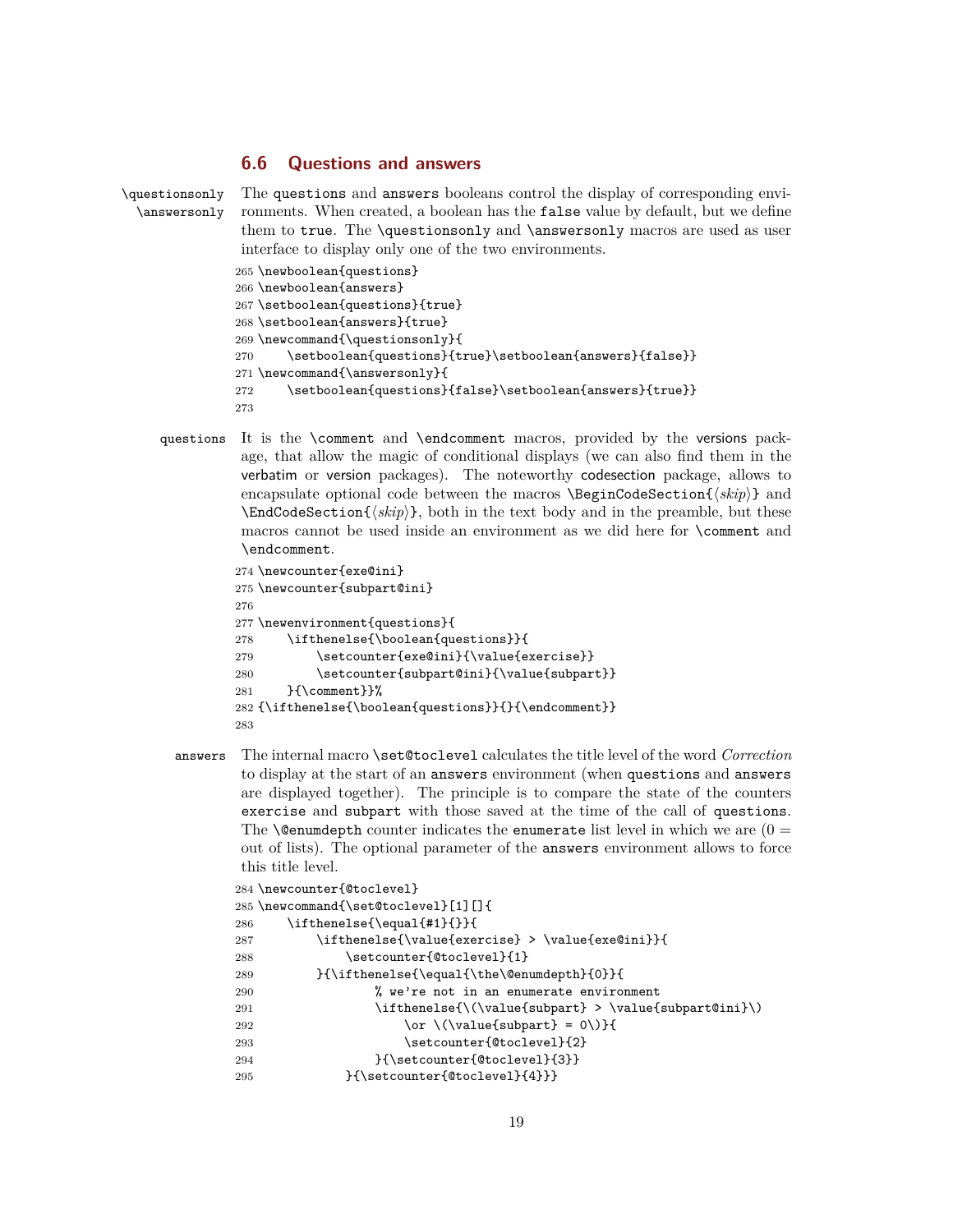#### **6.6 Questions and answers**

```
\questionsonly The questions and answers booleans control the display of corresponding envi-
  \answersonly ronments. When created, a boolean has the false value by default, but we define
                them to true. The \questionsonly and \answersonly macros are used as user
                interface to display only one of the two environments.
               265 \newboolean{questions}
               266 \newboolean{answers}
               267 \setboolean{questions}{true}
               268 \setboolean{answers}{true}
               269 \newcommand{\questionsonly}{
               270 \setboolean{questions}{true}\setboolean{answers}{false}}
               271 \newcommand{\answersonly}{
               272 \setboolean{questions}{false}\setboolean{answers}{true}}
               273
```
questions It is the \comment and \endcomment macros, provided by the versions package, that allow the magic of conditional displays (we can also find them in the verbatim or version packages). The noteworthy codesection package, allows to encapsulate optional code between the macros  $\begin{cases} \text{Stepi}(\text{skip}) \} \text{and} \end{cases}$  $\text{EndCodeSection}$ { $\langle skip \rangle$ }, both in the text body and in the preamble, but these macros cannot be used inside an environment as we did here for \comment and \endcomment.

```
274 \newcounter{exe@ini}
275 \newcounter{subpart@ini}
276
277 \newenvironment{questions}{
278 \ifthenelse{\boolean{questions}}{
279 \setcounter{exe@ini}{\value{exercise}}
280 \setcounter{subpart@ini}{\value{subpart}}
281 }{\comment}}%
282 {\ifthenelse{\boolean{questions}}{}{\endcomment}}
283
```
answers The internal macro \set@toclevel calculates the title level of the word *Correction* to display at the start of an answers environment (when questions and answers are displayed together). The principle is to compare the state of the counters exercise and subpart with those saved at the time of the call of questions. The **\@enumdepth** counter indicates the **enumerate** list level in which we are  $(0 =$ out of lists). The optional parameter of the answers environment allows to force this title level.

```
284 \newcounter{@toclevel}
285\newcommand{\set@toclevel}[1][]{
286 \ifthenelse{\equal{#1}{}}{
287 \ifthenelse{\value{exercise} > \value{exe@ini}}{
288 \setcounter{@toclevel}{1}
289 }{\ifthenelse{\equal{\the\@enumdepth}{0}}{
290 % we're not in an enumerate environment
291 \ifthenelse{\(\value{subpart} > \value{subpart@ini}\)
292 \or \(\{value\{subpart\} = 0)\}293 \setcounter{@toclevel}{2}
294 }{\setcounter{@toclevel}{3}}
295 }{\setcounter{@toclevel}{4}}}
```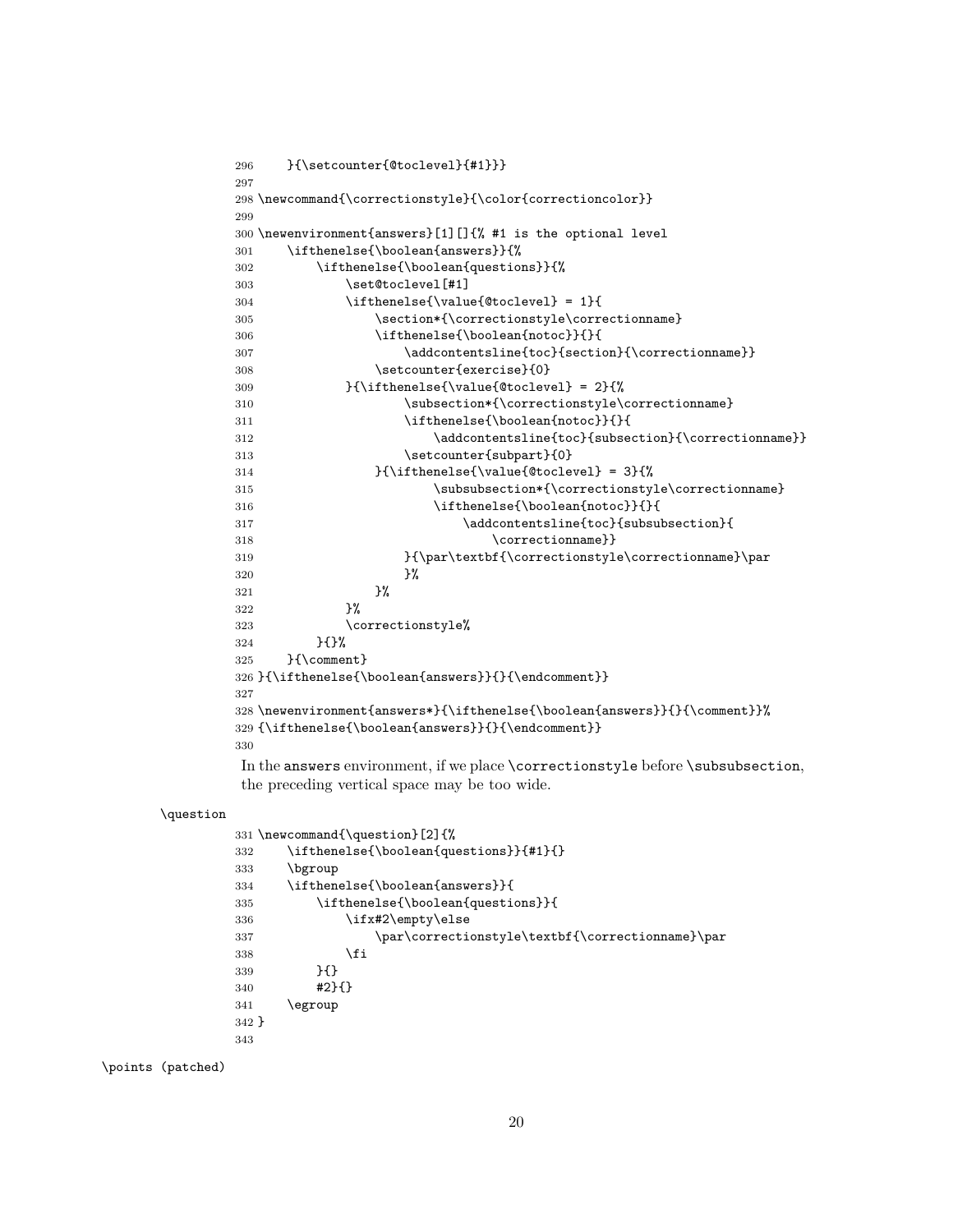```
296 }{\setcounter{@toclevel}{#1}}}
297
298 \newcommand{\correctionstyle}{\color{correctioncolor}}
299
300 \newenvironment{answers}[1][]{% #1 is the optional level
301 \ifthenelse{\boolean{answers}}{%
302 \ifthenelse{\boolean{questions}}{%
303 \set@toclevel[#1]
304 \ifthenelse{\value{@toclevel} = 1}{305 \section*{\correctionstyle\correctionname}
306 \ifthenelse{\boolean{notoc}}{}{
307 \addcontentsline{toc}{section}{\correctionname}}
308 \setcounter{exercise}{0}
309 {}_{\theta\searrow} {}_{\theta\searrow} {}_{\theta\searrow} {}_{\theta\searrow}310 \subsection*{\correctionstyle\correctionname}
311 \ifthenelse{\boolean{notoc}}{}{
312 \addcontentsline{toc}{subsection}{\correctionname}}
313 \setcounter{subpart}{0}
314 }{\ifthenelse{\value{@toclevel} = 3}{%
315 \subsubsection*{\correctionstyle\correctionname}
316 \ifthenelse{\boolean{notoc}}{}{
317 \ddcontentsline{toc}{subsubsection}{
318 \correctionname}}
319 }{\par\textbf{\correctionstyle\correctionname}\par
320 } }321 } }322 }%
323 \correctionstyle%
324 }{}%
325 }{\comment}
326 }{\ifthenelse{\boolean{answers}}{}{\endcomment}}
327
328 \newenvironment{answers*}{\ifthenelse{\boolean{answers}}{}{\comment}}%
329 {\ifthenelse{\boolean{answers}}{}{\endcomment}}
330
```
In the answers environment, if we place \correctionstyle before \subsubsection, the preceding vertical space may be too wide.

#### \question

```
331 \newcommand{\question}[2]{%
332 \ifthenelse{\boolean{questions}}{#1}{}
333 \bgroup
334 \ifthenelse{\boolean{answers}}{
335 \ifthenelse{\boolean{questions}}{
336 \ifx#2\empty\else
337 \par\correctionstyle\textbf{\correctionname}\par
338 \qquad \qquad \text{if}339 }{}
340 #2}{}
341 \egroup
342 }
343
```
\points (patched)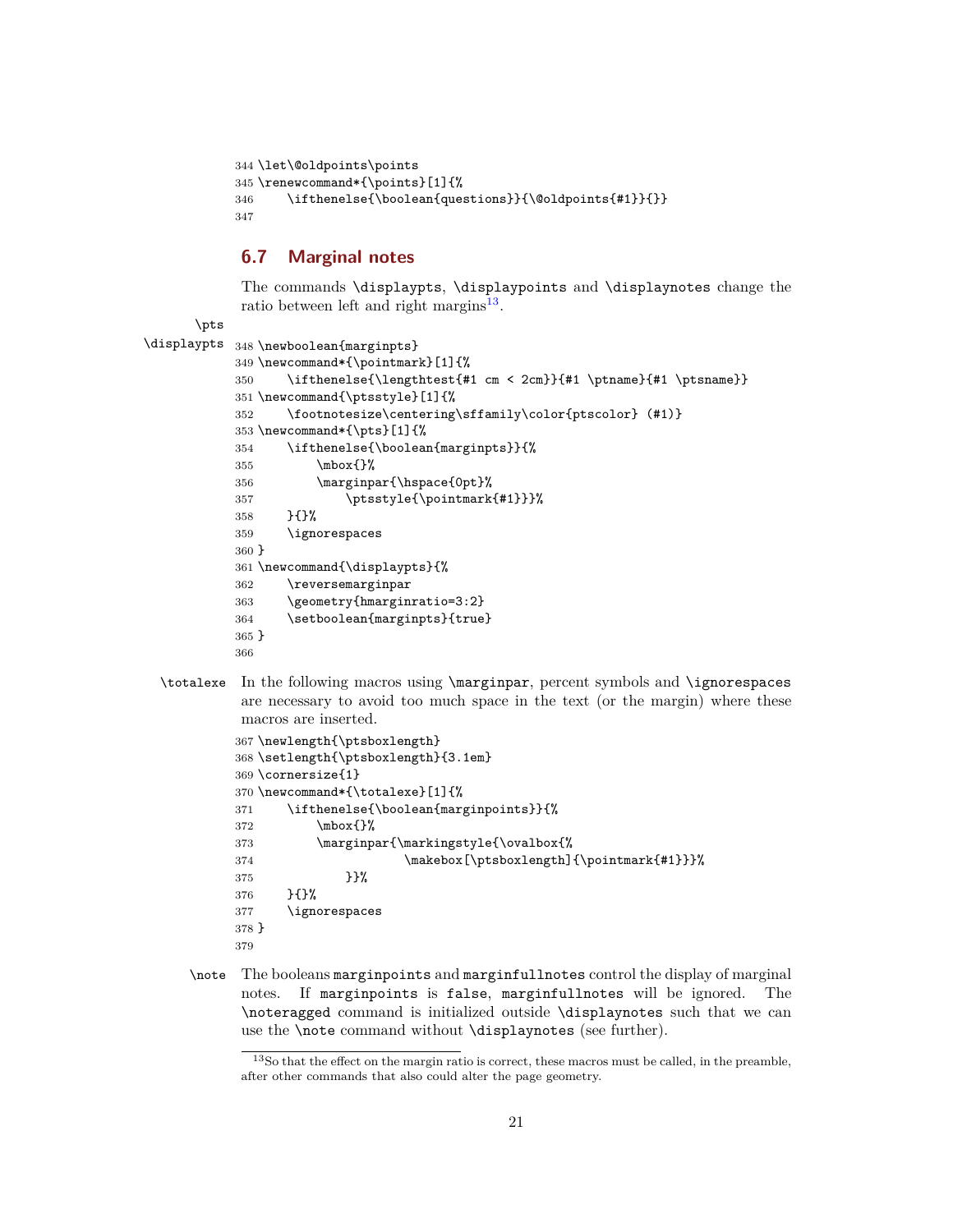```
344 \let\@oldpoints\points
345 \renewcommand*{\points}[1]{%
346 \ifthenelse{\boolean{questions}}{\@oldpoints{#1}}{}}
347
```
# <span id="page-20-0"></span>**6.7 Marginal notes**

The commands \displaypts, \displaypoints and \displaynotes change the ratio between left and right margins<sup>[13](#page-20-1)</sup>.

```
\pts
```

```
\displaypts 348 \newboolean{marginpts}
           349 \newcommand*{\pointmark}[1]{%
           350 \ifthenelse{\lengthtest{#1 cm < 2cm}}{#1 \ptname}{#1 \ptsname}}
           351 \newcommand{\ptsstyle}[1]{%
           352 \footnotesize\centering\sffamily\color{ptscolor} (#1)}
           353 \newcommand*{\pts}[1]{%
           354 \ifthenelse{\boolean{marginpts}}{%
           355 \mbox{}%
           356 \marginpar{\hspace{0pt}%
           357 \ptsstyle{\pointmark{#1}}}%
           358 }{}%
           359 \ignorespaces
           360 }
           361 \newcommand{\displaypts}{%
           362 \reversemarginpar
           363 \geometry{hmarginratio=3:2}
           364 \setboolean{marginpts}{true}
           365 }
           366
```
\totalexe In the following macros using \marginpar, percent symbols and \ignorespaces are necessary to avoid too much space in the text (or the margin) where these macros are inserted.

```
367 \newlength{\ptsboxlength}
368 \setlength{\ptsboxlength}{3.1em}
369 \cornersize{1}
370 \newcommand*{\totalexe}[1]{%
371 \ifthenelse{\boolean{marginpoints}}{%
372 \quad \text{mbox}{}%
373 \marginpar{\markingstyle{\ovalbox{%
374 \makebox[\ptsboxlength]{\pointmark{#1}}}%
375 }}%
376 }{}%
377 \ignorespaces
378 }
379
```
\note The booleans marginpoints and marginfullnotes control the display of marginal notes. If marginpoints is false, marginfullnotes will be ignored. The \noteragged command is initialized outside \displaynotes such that we can use the \note command without \displaynotes (see further).

<span id="page-20-1"></span> $^{13}{\rm So}$  that the effect on the margin ratio is correct, these macros must be called, in the preamble, after other commands that also could alter the page geometry.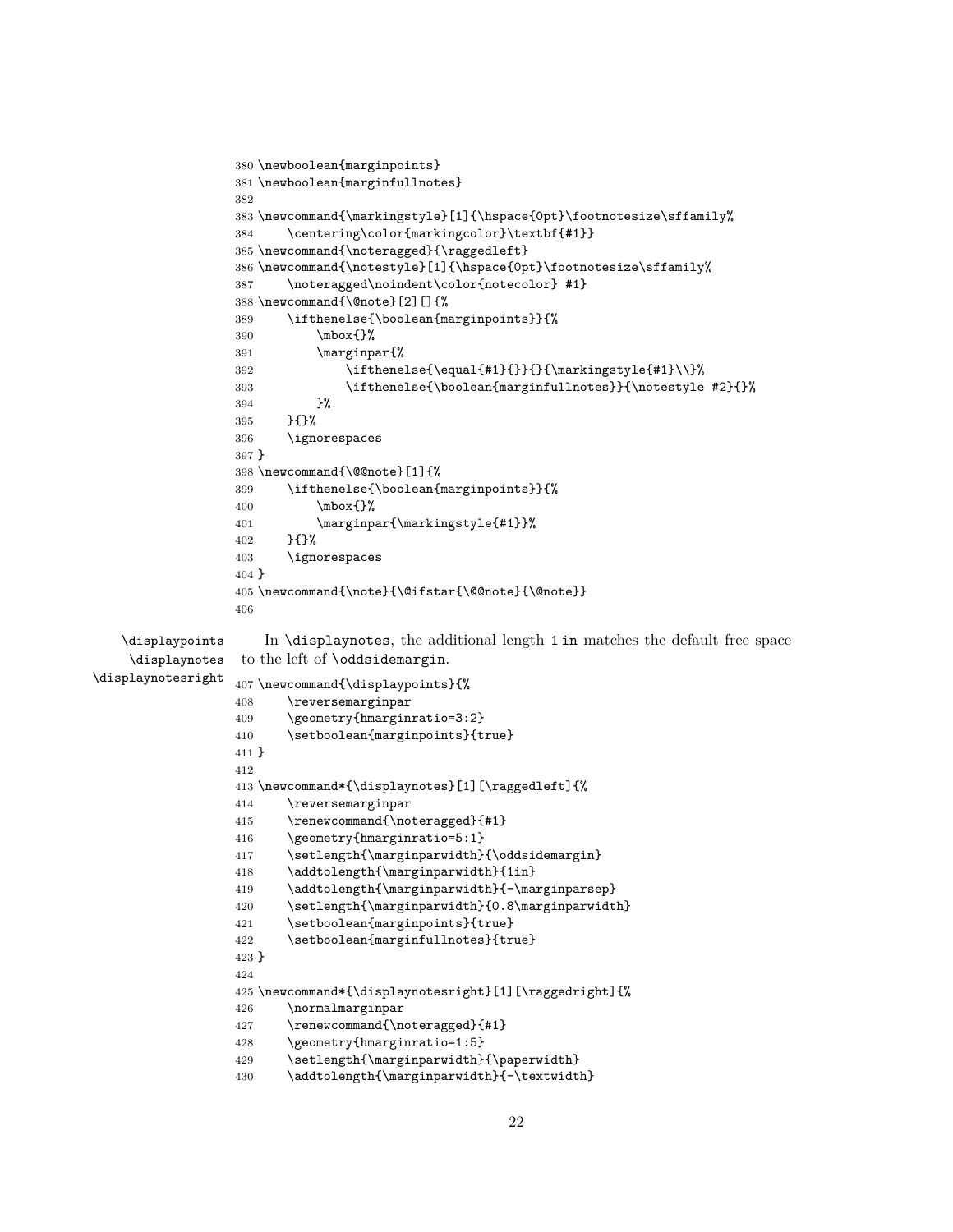```
380 \newboolean{marginpoints}
                  381 \newboolean{marginfullnotes}
                  382
                  383 \newcommand{\markingstyle}[1]{\hspace{0pt}\footnotesize\sffamily%
                  384 \centering\color{markingcolor}\textbf{#1}}
                  385 \newcommand{\noteragged}{\raggedleft}
                  386 \newcommand{\notestyle}[1]{\hspace{0pt}\footnotesize\sffamily%
                  387 \noteragged\noindent\color{notecolor} #1}
                  388 \newcommand{\@note}[2][]{%
                  389 \ifthenelse{\boolean{marginpoints}}{%
                  390 \mbox{}%
                  391 \marginpar{%
                  392 \ifthenelse{\equal{#1}{}}{}{\markingstyle{#1}\\}%
                  393 \ifthenelse{\boolean{marginfullnotes}}{\notestyle #2}{}%
                  394 }%
                  395 }{}%
                  396 \ignorespaces
                  397 }
                  398 \newcommand{\@@note}[1]{%
                  399 \ifthenelse{\boolean{marginpoints}}{%
                  400 \mbox{}%
                  401 \marginpar{\markingstyle{#1}}%
                  402 }{}%
                  403 \ignorespaces
                  404 }
                  405 \newcommand{\note}{\@ifstar{\@@note}{\@note}}
                  406
   \displaypoints In \displaynotes, the additional length 1 in matches the default free space
    \displaynotes
\displaynotesright
                   to the left of \oddsidemargin.
                  407 \newcommand{\displaypoints}{%
                  408 \reversemarginpar
                  409 \geometry{hmarginratio=3:2}
                  410 \setboolean{marginpoints}{true}
                  411 }
                  412
                  413 \newcommand*{\displaynotes}[1][\raggedleft]{%
                  414 \reversemarginpar
                  415 \renewcommand{\noteragged}{#1}
                  416 \geometry{hmarginratio=5:1}
                  417 \setlength{\marginparwidth}{\oddsidemargin}
                  418 \addtolength{\marginparwidth}{1in}
                  419 \addtolength{\marginparwidth}{-\marginparsep}
                  420 \setlength{\marginparwidth}{0.8\marginparwidth}
                  421 \setboolean{marginpoints}{true}
                  422 \setboolean{marginfullnotes}{true}
                  423 }
                  424
                  425 \newcommand*{\displaynotesright}[1][\raggedright]{%
                  426 \normalmarginpar
                  427 \renewcommand{\noteragged}{#1}
                  428 \geometry{hmarginratio=1:5}
                  429 \setlength{\marginparwidth}{\paperwidth}
                  430 \addtolength{\marginparwidth}{-\textwidth}
```